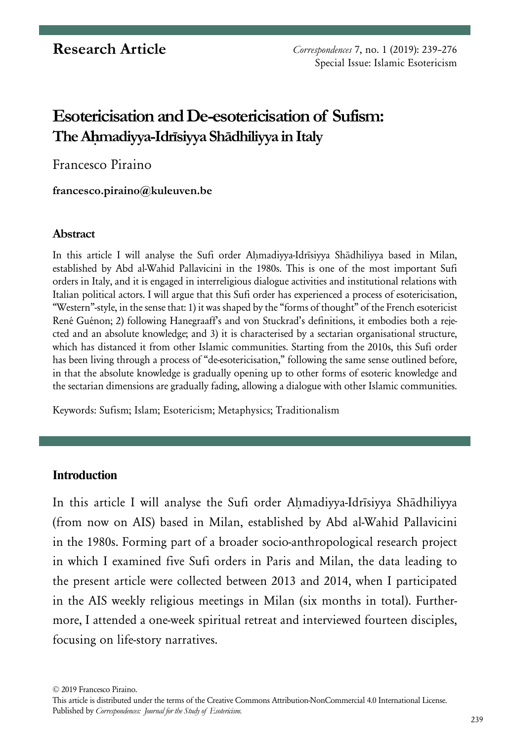# **Esotericisation and De-esotericisation of Sufism: The Aḥmadiyya-Idrīsiyya Shādhiliyya in Italy**

Francesco Piraino

#### **[francesco.piraino@kuleuven.be](mailto:francesco.piraino%40kuleuven.be?subject=)**

#### **Abstract**

In this article I will analyse the Sufi order Ahmadiyya-Idrīsiyya Shādhiliyya based in Milan, established by Abd al-Wahid Pallavicini in the 1980s. This is one of the most important Sufi orders in Italy, and it is engaged in interreligious dialogue activities and institutional relations with Italian political actors. I will argue that this Sufi order has experienced a process of esotericisation, "Western"-style, in the sense that: 1) it was shaped by the "forms of thought" of the French esotericist René Guénon; 2) following Hanegraaff's and von Stuckrad's definitions, it embodies both a rejected and an absolute knowledge; and 3) it is characterised by a sectarian organisational structure, which has distanced it from other Islamic communities. Starting from the 2010s, this Sufi order has been living through a process of "de-esotericisation," following the same sense outlined before, in that the absolute knowledge is gradually opening up to other forms of esoteric knowledge and the sectarian dimensions are gradually fading, allowing a dialogue with other Islamic communities.

Keywords: Sufism; Islam; Esotericism; Metaphysics; Traditionalism

# **Introduction**

In this article I will analyse the Sufi order Aḥmadiyya-Idrīsiyya Shādhiliyya (from now on AIS) based in Milan, established by Abd al-Wahid Pallavicini in the 1980s. Forming part of a broader socio-anthropological research project in which I examined five Sufi orders in Paris and Milan, the data leading to the present article were collected between 2013 and 2014, when I participated in the AIS weekly religious meetings in Milan (six months in total). Furthermore, I attended a one-week spiritual retreat and interviewed fourteen disciples, focusing on life-story narratives.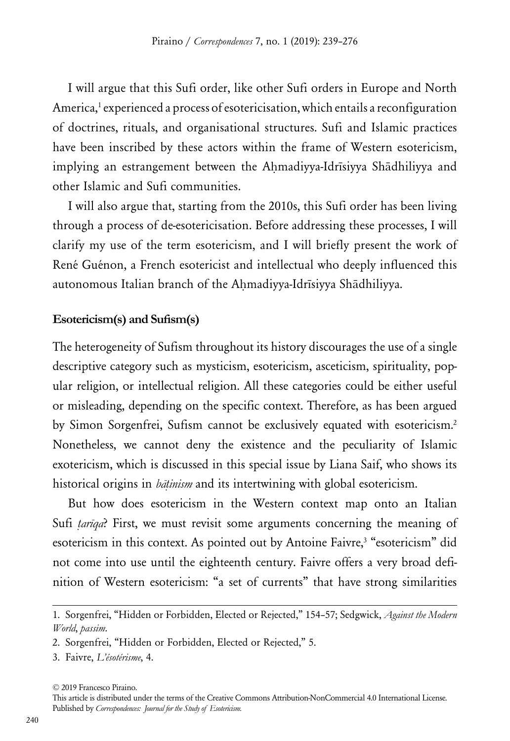I will argue that this Sufi order, like other Sufi orders in Europe and North America,<sup>1</sup> experienced a process of esotericisation, which entails a reconfiguration of doctrines, rituals, and organisational structures. Sufi and Islamic practices have been inscribed by these actors within the frame of Western esotericism, implying an estrangement between the Ahmadiyya-Idrīsiyya Shādhiliyya and other Islamic and Sufi communities.

I will also argue that, starting from the 2010s, this Sufi order has been living through a process of de-esotericisation. Before addressing these processes, I will clarify my use of the term esotericism, and I will briefly present the work of René Guénon, a French esotericist and intellectual who deeply influenced this autonomous Italian branch of the Ahmadiyya-Idrīsiyya Shādhiliyya.

#### **Esotericism(s) and Sufism(s)**

The heterogeneity of Sufism throughout its history discourages the use of a single descriptive category such as mysticism, esotericism, asceticism, spirituality, popular religion, or intellectual religion. All these categories could be either useful or misleading, depending on the specific context. Therefore, as has been argued by Simon Sorgenfrei, Sufism cannot be exclusively equated with esotericism.<sup>2</sup> Nonetheless, we cannot deny the existence and the peculiarity of Islamic exotericism, which is discussed in this special issue by Liana Saif, who shows its historical origins in *bāṭinism* and its intertwining with global esotericism.

But how does esotericism in the Western context map onto an Italian Sufi *ṭarīqa*? First, we must revisit some arguments concerning the meaning of esotericism in this context. As pointed out by Antoine Faivre,<sup>3</sup> "esotericism" did not come into use until the eighteenth century. Faivre offers a very broad definition of Western esotericism: "a set of currents" that have strong similarities

<sup>1.</sup> Sorgenfrei, "Hidden or Forbidden, Elected or Rejected," 154–57; Sedgwick, *Against the Modern World*, *passim*.

<sup>2.</sup> Sorgenfrei, "Hidden or Forbidden, Elected or Rejected," 5.

<sup>3.</sup> Faivre, *L'ésotérisme*, 4.

<sup>© 2019</sup> Francesco Piraino.

This article is distributed under the terms of the Creative Commons Attribution-NonCommercial 4.0 International License. Published by *Correspondences: Journal for the Study of Esotericism.*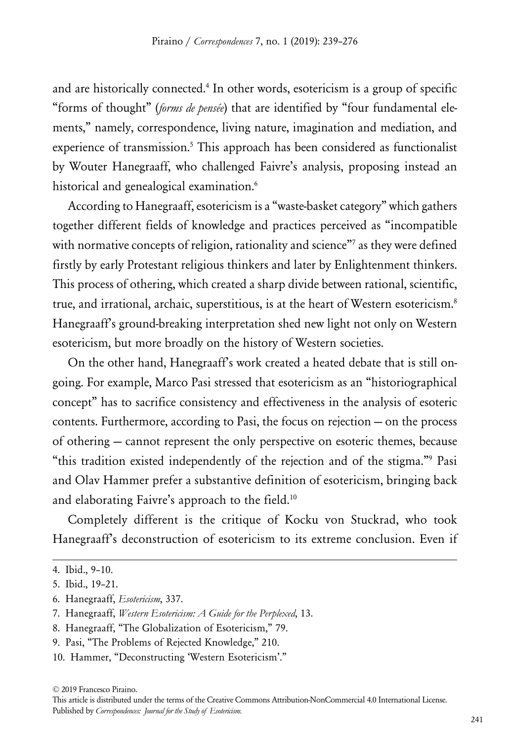and are historically connected.4 In other words, esotericism is a group of specific "forms of thought" (*forms de pensée*) that are identified by "four fundamental elements," namely, correspondence, living nature, imagination and mediation, and experience of transmission.<sup>5</sup> This approach has been considered as functionalist by Wouter Hanegraaff, who challenged Faivre's analysis, proposing instead an historical and genealogical examination.<sup>6</sup>

According to Hanegraaff, esotericism is a "waste-basket category" which gathers together different fields of knowledge and practices perceived as "incompatible with normative concepts of religion, rationality and science"7 as they were defined firstly by early Protestant religious thinkers and later by Enlightenment thinkers. This process of othering, which created a sharp divide between rational, scientific, true, and irrational, archaic, superstitious, is at the heart of Western esotericism.<sup>8</sup> Hanegraaff's ground-breaking interpretation shed new light not only on Western esotericism, but more broadly on the history of Western societies.

On the other hand, Hanegraaff's work created a heated debate that is still ongoing. For example, Marco Pasi stressed that esotericism as an "historiographical concept" has to sacrifice consistency and effectiveness in the analysis of esoteric contents. Furthermore, according to Pasi, the focus on rejection — on the process of othering — cannot represent the only perspective on esoteric themes, because "this tradition existed independently of the rejection and of the stigma."<sup>9</sup> Pasi and Olav Hammer prefer a substantive definition of esotericism, bringing back and elaborating Faivre's approach to the field.<sup>10</sup>

Completely different is the critique of Kocku von Stuckrad, who took Hanegraaff's deconstruction of esotericism to its extreme conclusion. Even if

- 8. Hanegraaff, "The Globalization of Esotericism," 79.
- 9. Pasi, "The Problems of Rejected Knowledge," 210.
- 10. Hammer, "Deconstructing 'Western Esotericism'."

<sup>4.</sup> Ibid., 9–10.

<sup>5.</sup> Ibid., 19–21.

<sup>6.</sup> Hanegraaff, *Esotericism*, 337.

<sup>7.</sup> Hanegraaff, *Western Esotericism: A Guide for the Perplexed*, 13.

This article is distributed under the terms of the Creative Commons Attribution-NonCommercial 4.0 International License. Published by *Correspondences: Journal for the Study of Esotericism.*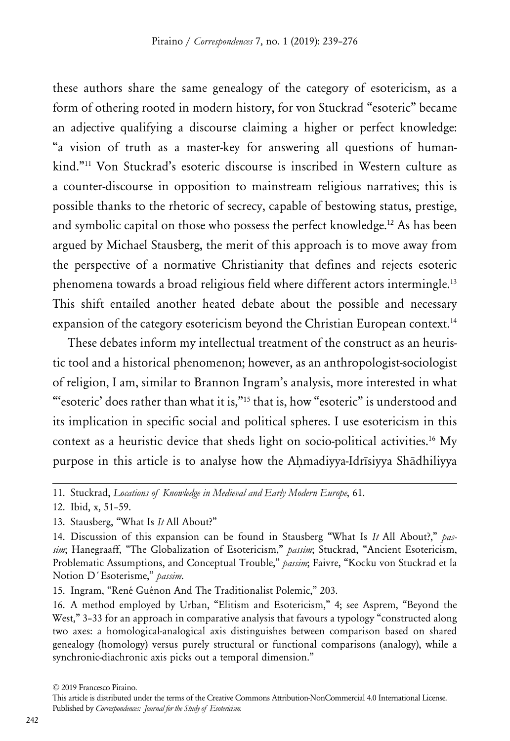these authors share the same genealogy of the category of esotericism, as a form of othering rooted in modern history, for von Stuckrad "esoteric" became an adjective qualifying a discourse claiming a higher or perfect knowledge: "a vision of truth as a master-key for answering all questions of humankind."11 Von Stuckrad's esoteric discourse is inscribed in Western culture as a counter-discourse in opposition to mainstream religious narratives; this is possible thanks to the rhetoric of secrecy, capable of bestowing status, prestige, and symbolic capital on those who possess the perfect knowledge.<sup>12</sup> As has been argued by Michael Stausberg, the merit of this approach is to move away from the perspective of a normative Christianity that defines and rejects esoteric phenomena towards a broad religious field where different actors intermingle.13 This shift entailed another heated debate about the possible and necessary expansion of the category esotericism beyond the Christian European context.<sup>14</sup>

These debates inform my intellectual treatment of the construct as an heuristic tool and a historical phenomenon; however, as an anthropologist-sociologist of religion, I am, similar to Brannon Ingram's analysis, more interested in what "'esoteric' does rather than what it is,"15 that is, how "esoteric" is understood and its implication in specific social and political spheres. I use esotericism in this context as a heuristic device that sheds light on socio-political activities.<sup>16</sup> My purpose in this article is to analyse how the Aḥmadiyya-Idrīsiyya Shādhiliyya

This article is distributed under the terms of the Creative Commons Attribution-NonCommercial 4.0 International License. Published by *Correspondences: Journal for the Study of Esotericism.*

<sup>11.</sup> Stuckrad, *Locations of Knowledge in Medieval and Early Modern Europe*, 61.

<sup>12.</sup> Ibid, x, 51–59.

<sup>13.</sup> Stausberg, "What Is *It* All About?"

<sup>14.</sup> Discussion of this expansion can be found in Stausberg "What Is *It* All About?," *passim*; Hanegraaff, "The Globalization of Esotericism," *passim*; Stuckrad, "Ancient Esotericism, Problematic Assumptions, and Conceptual Trouble," *passim*; Faivre, "Kocku von Stuckrad et la Notion D´Esoterisme," *passim*.

<sup>15.</sup> Ingram, "René Guénon And The Traditionalist Polemic," 203.

<sup>16.</sup> A method employed by Urban, "Elitism and Esotericism," 4; see Asprem, "Beyond the West," 3–33 for an approach in comparative analysis that favours a typology "constructed along two axes: a homological-analogical axis distinguishes between comparison based on shared genealogy (homology) versus purely structural or functional comparisons (analogy), while a synchronic-diachronic axis picks out a temporal dimension."

<sup>© 2019</sup> Francesco Piraino.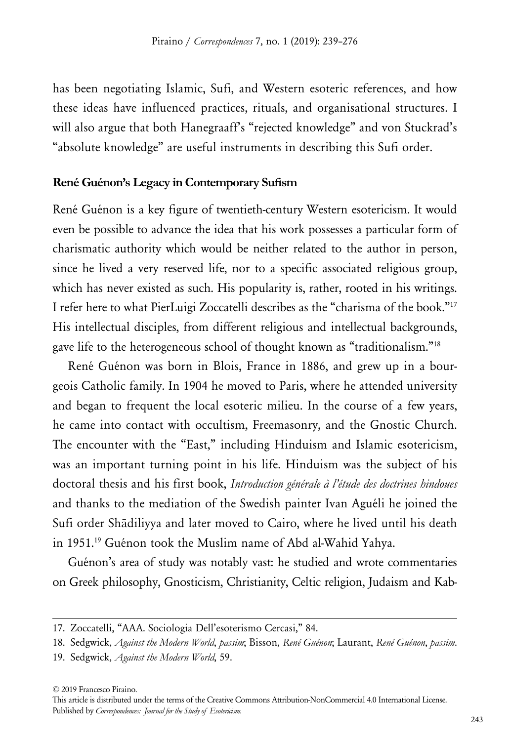has been negotiating Islamic, Sufi, and Western esoteric references, and how these ideas have influenced practices, rituals, and organisational structures. I will also argue that both Hanegraaff's "rejected knowledge" and von Stuckrad's "absolute knowledge" are useful instruments in describing this Sufi order.

#### **René Guénon's Legacy in Contemporary Sufism**

René Guénon is a key figure of twentieth-century Western esotericism. It would even be possible to advance the idea that his work possesses a particular form of charismatic authority which would be neither related to the author in person, since he lived a very reserved life, nor to a specific associated religious group, which has never existed as such. His popularity is, rather, rooted in his writings. I refer here to what PierLuigi Zoccatelli describes as the "charisma of the book."17 His intellectual disciples, from different religious and intellectual backgrounds, gave life to the heterogeneous school of thought known as "traditionalism."18

René Guénon was born in Blois, France in 1886, and grew up in a bourgeois Catholic family. In 1904 he moved to Paris, where he attended university and began to frequent the local esoteric milieu. In the course of a few years, he came into contact with occultism, Freemasonry, and the Gnostic Church. The encounter with the "East," including Hinduism and Islamic esotericism, was an important turning point in his life. Hinduism was the subject of his doctoral thesis and his first book, *Introduction générale à l'étude des doctrines hindoues* and thanks to the mediation of the Swedish painter Ivan Aguéli he joined the Sufi order Shādiliyya and later moved to Cairo, where he lived until his death in 1951.19 Guénon took the Muslim name of Abd al-Wahid Yahya.

Guénon's area of study was notably vast: he studied and wrote commentaries on Greek philosophy, Gnosticism, Christianity, Celtic religion, Judaism and Kab-

<sup>17.</sup> Zoccatelli, "AAA. Sociologia Dell'esoterismo Cercasi," 84.

<sup>18.</sup> Sedgwick, *Against the Modern World*, *passim*; Bisson, *René Guénon*; Laurant, *René Guénon*, *passim*.

<sup>19.</sup> Sedgwick, *Against the Modern World*, 59.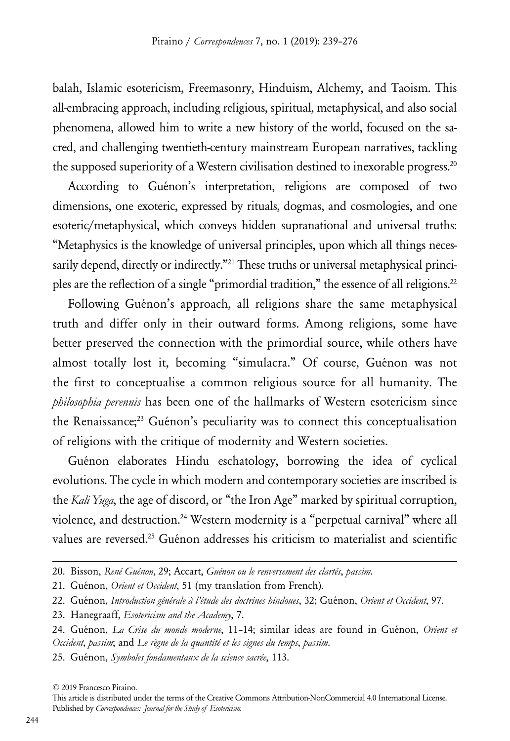balah, Islamic esotericism, Freemasonry, Hinduism, Alchemy, and Taoism. This all-embracing approach, including religious, spiritual, metaphysical, and also social phenomena, allowed him to write a new history of the world, focused on the sacred, and challenging twentieth-century mainstream European narratives, tackling the supposed superiority of a Western civilisation destined to inexorable progress.<sup>20</sup>

According to Guénon's interpretation, religions are composed of two dimensions, one exoteric, expressed by rituals, dogmas, and cosmologies, and one esoteric/metaphysical, which conveys hidden supranational and universal truths: "Metaphysics is the knowledge of universal principles, upon which all things necessarily depend, directly or indirectly."<sup>21</sup> These truths or universal metaphysical principles are the reflection of a single "primordial tradition," the essence of all religions.<sup>22</sup>

Following Guénon's approach, all religions share the same metaphysical truth and differ only in their outward forms. Among religions, some have better preserved the connection with the primordial source, while others have almost totally lost it, becoming "simulacra." Of course, Guénon was not the first to conceptualise a common religious source for all humanity. The *philosophia perennis* has been one of the hallmarks of Western esotericism since the Renaissance;<sup>23</sup> Guénon's peculiarity was to connect this conceptualisation of religions with the critique of modernity and Western societies.

Guénon elaborates Hindu eschatology, borrowing the idea of cyclical evolutions. The cycle in which modern and contemporary societies are inscribed is the *Kali Yuga*, the age of discord, or "the Iron Age" marked by spiritual corruption, violence, and destruction.24 Western modernity is a "perpetual carnival" where all values are reversed.<sup>25</sup> Guénon addresses his criticism to materialist and scientific

<sup>20.</sup> Bisson, *René Guénon*, 29; Accart, *Guénon ou le renversement des clartés*, *passim*.

<sup>21.</sup> Guénon, *Orient et Occident*, 51 (my translation from French).

<sup>22.</sup> Guénon, *Introduction générale à l'étude des doctrines hindoues*, 32; Guénon, *Orient et Occident*, 97.

<sup>23.</sup> Hanegraaff, *Esotericism and the Academy*, 7.

<sup>24.</sup> Guénon, *La Crise du monde moderne*, 11–14; similar ideas are found in Guénon, *Orient et Occident*, *passim*; and *Le règne de la quantité et les signes du temps*, *passim*.

<sup>25.</sup> Guénon, *Symboles fondamentaux de la science sacrée*, 113.

<sup>© 2019</sup> Francesco Piraino.

This article is distributed under the terms of the Creative Commons Attribution-NonCommercial 4.0 International License. Published by *Correspondences: Journal for the Study of Esotericism.*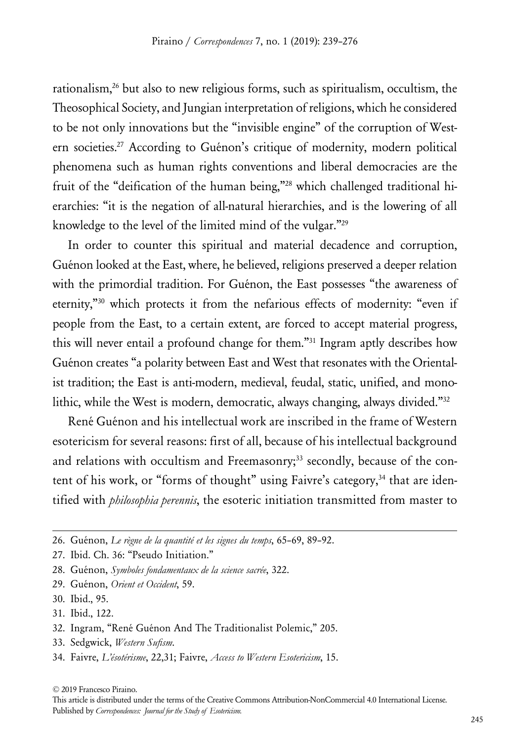rationalism,26 but also to new religious forms, such as spiritualism, occultism, the Theosophical Society, and Jungian interpretation of religions, which he considered to be not only innovations but the "invisible engine" of the corruption of Western societies.<sup>27</sup> According to Guénon's critique of modernity, modern political phenomena such as human rights conventions and liberal democracies are the fruit of the "deification of the human being,"28 which challenged traditional hierarchies: "it is the negation of all-natural hierarchies, and is the lowering of all knowledge to the level of the limited mind of the vulgar."29

In order to counter this spiritual and material decadence and corruption, Guénon looked at the East, where, he believed, religions preserved a deeper relation with the primordial tradition. For Guénon, the East possesses "the awareness of eternity,"30 which protects it from the nefarious effects of modernity: "even if people from the East, to a certain extent, are forced to accept material progress, this will never entail a profound change for them."31 Ingram aptly describes how Guénon creates "a polarity between East and West that resonates with the Orientalist tradition; the East is anti-modern, medieval, feudal, static, unified, and monolithic, while the West is modern, democratic, always changing, always divided."32

René Guénon and his intellectual work are inscribed in the frame of Western esotericism for several reasons: first of all, because of his intellectual background and relations with occultism and Freemasonry;<sup>33</sup> secondly, because of the content of his work, or "forms of thought" using Faivre's category,<sup>34</sup> that are identified with *philosophia perennis*, the esoteric initiation transmitted from master to

- 30. Ibid., 95.
- 31. Ibid., 122.
- 32. Ingram, "René Guénon And The Traditionalist Polemic," 205.
- 33. Sedgwick, *Western Sufism*.
- 34. Faivre, *L'ésotérisme*, 22,31; Faivre, *Access to Western Esotericism*, 15.

<sup>26.</sup> Guénon, *Le règne de la quantité et les signes du temps*, 65–69, 89–92.

<sup>27.</sup> Ibid. Ch. 36: "Pseudo Initiation."

<sup>28.</sup> Guénon, *Symboles fondamentaux de la science sacrée*, 322.

<sup>29.</sup> Guénon, *Orient et Occident*, 59.

This article is distributed under the terms of the Creative Commons Attribution-NonCommercial 4.0 International License. Published by *Correspondences: Journal for the Study of Esotericism.*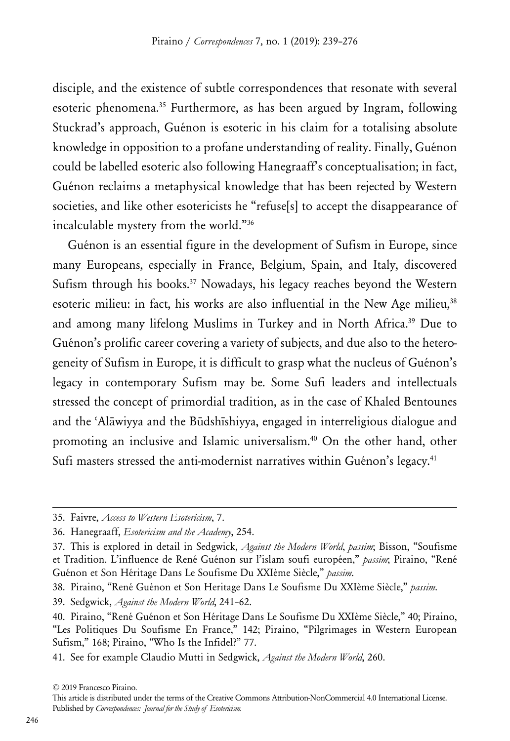disciple, and the existence of subtle correspondences that resonate with several esoteric phenomena.35 Furthermore, as has been argued by Ingram, following Stuckrad's approach, Guénon is esoteric in his claim for a totalising absolute knowledge in opposition to a profane understanding of reality. Finally, Guénon could be labelled esoteric also following Hanegraaff's conceptualisation; in fact, Guénon reclaims a metaphysical knowledge that has been rejected by Western societies, and like other esotericists he "refuse[s] to accept the disappearance of incalculable mystery from the world."36

Guénon is an essential figure in the development of Sufism in Europe, since many Europeans, especially in France, Belgium, Spain, and Italy, discovered Sufism through his books.<sup>37</sup> Nowadays, his legacy reaches beyond the Western esoteric milieu: in fact, his works are also influential in the New Age milieu,<sup>38</sup> and among many lifelong Muslims in Turkey and in North Africa.<sup>39</sup> Due to Guénon's prolific career covering a variety of subjects, and due also to the heterogeneity of Sufism in Europe, it is difficult to grasp what the nucleus of Guénon's legacy in contemporary Sufism may be. Some Sufi leaders and intellectuals stressed the concept of primordial tradition, as in the case of Khaled Bentounes and the ʿAlāwiyya and the Būdshīshiyya, engaged in interreligious dialogue and promoting an inclusive and Islamic universalism.40 On the other hand, other Sufi masters stressed the anti-modernist narratives within Guénon's legacy.<sup>41</sup>

39. Sedgwick, *Against the Modern World*, 241–62.

This article is distributed under the terms of the Creative Commons Attribution-NonCommercial 4.0 International License. Published by *Correspondences: Journal for the Study of Esotericism.*

<sup>35.</sup> Faivre, *Access to Western Esotericism*, 7.

<sup>36.</sup> Hanegraaff, *Esotericism and the Academy*, 254.

<sup>37.</sup> This is explored in detail in Sedgwick, *Against the Modern World*, *passim*; Bisson, "Soufisme et Tradition. L'influence de René Guénon sur l'islam soufi européen," *passim*; Piraino, "René Guénon et Son Héritage Dans Le Soufisme Du XXIème Siècle," *passim*.

<sup>38.</sup> Piraino, "René Guénon et Son Heritage Dans Le Soufisme Du XXIème Siècle," *passim*.

<sup>40.</sup> Piraino, "René Guénon et Son Héritage Dans Le Soufisme Du XXIème Siècle," 40; Piraino, "Les Politiques Du Soufisme En France," 142; Piraino, "Pilgrimages in Western European Sufism," 168; Piraino, "Who Is the Infidel?" 77.

<sup>41.</sup> See for example Claudio Mutti in Sedgwick, *Against the Modern World*, 260.

<sup>© 2019</sup> Francesco Piraino.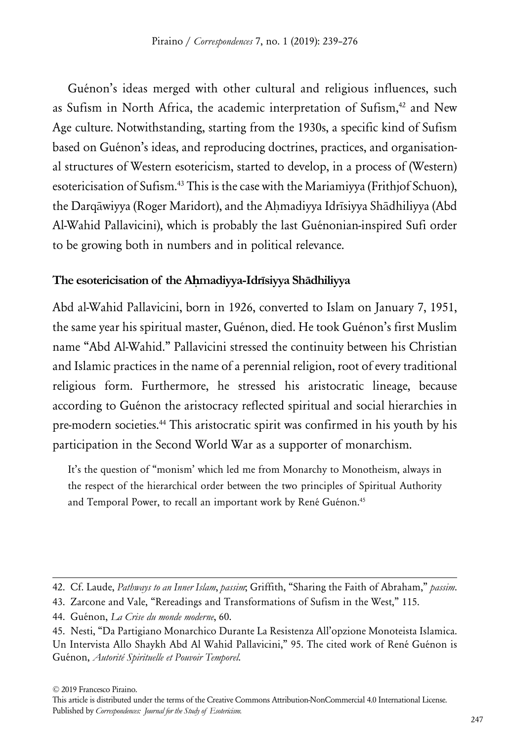Guénon's ideas merged with other cultural and religious influences, such as Sufism in North Africa, the academic interpretation of Sufism,<sup>42</sup> and New Age culture. Notwithstanding, starting from the 1930s, a specific kind of Sufism based on Guénon's ideas, and reproducing doctrines, practices, and organisational structures of Western esotericism, started to develop, in a process of (Western) esotericisation of Sufism.43 This is the case with the Mariamiyya (Frithjof Schuon), the Darqāwiyya (Roger Maridort), and the Ahmadiyya Idrīsiyya Shādhiliyya (Abd Al-Wahid Pallavicini), which is probably the last Guénonian-inspired Sufi order to be growing both in numbers and in political relevance.

# **The esotericisation of the Aḥmadiyya-Idrīsiyya Shādhiliyya**

Abd al-Wahid Pallavicini, born in 1926, converted to Islam on January 7, 1951, the same year his spiritual master, Guénon, died. He took Guénon's first Muslim name "Abd Al-Wahid." Pallavicini stressed the continuity between his Christian and Islamic practices in the name of a perennial religion, root of every traditional religious form. Furthermore, he stressed his aristocratic lineage, because according to Guénon the aristocracy reflected spiritual and social hierarchies in pre-modern societies.<sup>44</sup> This aristocratic spirit was confirmed in his youth by his participation in the Second World War as a supporter of monarchism.

It's the question of "monism' which led me from Monarchy to Monotheism, always in the respect of the hierarchical order between the two principles of Spiritual Authority and Temporal Power, to recall an important work by René Guénon.<sup>45</sup>

<sup>42.</sup> Cf. Laude, *Pathways to an Inner Islam*, *passim*; Griffith, "Sharing the Faith of Abraham," *passim*.

<sup>43.</sup> Zarcone and Vale, "Rereadings and Transformations of Sufism in the West," 115.

<sup>44.</sup> Guénon, *La Crise du monde moderne*, 60.

<sup>45.</sup> Nesti, "Da Partigiano Monarchico Durante La Resistenza All'opzione Monoteista Islamica.

Un Intervista Allo Shaykh Abd Al Wahid Pallavicini," 95. The cited work of René Guénon is Guénon, *Autorité Spirituelle et Pouvoir Temporel*.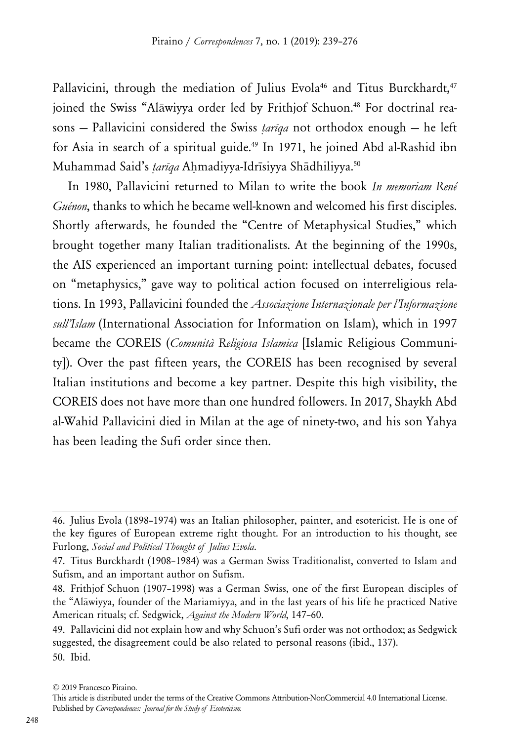Pallavicini, through the mediation of Julius Evola<sup>46</sup> and Titus Burckhardt,<sup>47</sup> joined the Swiss "Alāwiyya order led by Frithjof Schuon.<sup>48</sup> For doctrinal reasons — Pallavicini considered the Swiss *ṭarīqa* not orthodox enough — he left for Asia in search of a spiritual guide.<sup>49</sup> In 1971, he joined Abd al-Rashid ibn Muhammad Said's *tarīga* Ahmadiyya-Idrīsiyya Shādhiliyya.<sup>50</sup>

In 1980, Pallavicini returned to Milan to write the book *In memoriam René Guénon*, thanks to which he became well-known and welcomed his first disciples. Shortly afterwards, he founded the "Centre of Metaphysical Studies," which brought together many Italian traditionalists. At the beginning of the 1990s, the AIS experienced an important turning point: intellectual debates, focused on "metaphysics," gave way to political action focused on interreligious relations. In 1993, Pallavicini founded the *Associazione Internazionale per l'Informazione sull'Islam* (International Association for Information on Islam), which in 1997 became the COREIS (*Comunità Religiosa Islamica* [Islamic Religious Community]). Over the past fifteen years, the COREIS has been recognised by several Italian institutions and become a key partner. Despite this high visibility, the COREIS does not have more than one hundred followers. In 2017, Shaykh Abd al-Wahid Pallavicini died in Milan at the age of ninety-two, and his son Yahya has been leading the Sufi order since then.

<sup>46.</sup> Julius Evola (1898–1974) was an Italian philosopher, painter, and esotericist. He is one of the key figures of European extreme right thought. For an introduction to his thought, see Furlong, *Social and Political Thought of Julius Evola*.

<sup>47.</sup> Titus Burckhardt (1908–1984) was a German Swiss Traditionalist, converted to Islam and Sufism, and an important author on Sufism.

<sup>48.</sup> Frithjof Schuon (1907–1998) was a German Swiss, one of the first European disciples of the "Alāwiyya, founder of the Mariamiyya, and in the last years of his life he practiced Native American rituals; cf. Sedgwick, *Against the Modern World*, 147–60.

<sup>49.</sup> Pallavicini did not explain how and why Schuon's Sufi order was not orthodox; as Sedgwick suggested, the disagreement could be also related to personal reasons (ibid., 137). 50. Ibid.

<sup>© 2019</sup> Francesco Piraino.

This article is distributed under the terms of the Creative Commons Attribution-NonCommercial 4.0 International License. Published by *Correspondences: Journal for the Study of Esotericism.*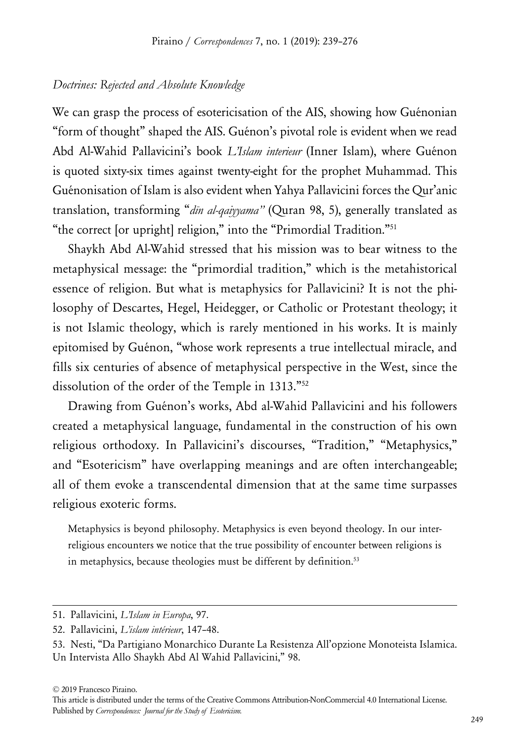#### *Doctrines: Rejected and Absolute Knowledge*

We can grasp the process of esotericisation of the AIS, showing how Guénonian "form of thought" shaped the AIS. Guénon's pivotal role is evident when we read Abd Al-Wahid Pallavicini's book *L'Islam interieur* (Inner Islam), where Guénon is quoted sixty-six times against twenty-eight for the prophet Muhammad. This Guénonisation of Islam is also evident when Yahya Pallavicini forces the Qur'anic translation, transforming "*dīn al-qaiyyama"* (Quran 98, 5), generally translated as "the correct [or upright] religion," into the "Primordial Tradition."51

Shaykh Abd Al-Wahid stressed that his mission was to bear witness to the metaphysical message: the "primordial tradition," which is the metahistorical essence of religion. But what is metaphysics for Pallavicini? It is not the philosophy of Descartes, Hegel, Heidegger, or Catholic or Protestant theology; it is not Islamic theology, which is rarely mentioned in his works. It is mainly epitomised by Guénon, "whose work represents a true intellectual miracle, and fills six centuries of absence of metaphysical perspective in the West, since the dissolution of the order of the Temple in 1313."52

Drawing from Guénon's works, Abd al-Wahid Pallavicini and his followers created a metaphysical language, fundamental in the construction of his own religious orthodoxy. In Pallavicini's discourses, "Tradition," "Metaphysics," and "Esotericism" have overlapping meanings and are often interchangeable; all of them evoke a transcendental dimension that at the same time surpasses religious exoteric forms.

Metaphysics is beyond philosophy. Metaphysics is even beyond theology. In our interreligious encounters we notice that the true possibility of encounter between religions is in metaphysics, because theologies must be different by definition.<sup>53</sup>

<sup>51.</sup> Pallavicini, *L'Islam in Europa*, 97.

<sup>52.</sup> Pallavicini, *L'islam intérieur*, 147–48.

<sup>53.</sup> Nesti, "Da Partigiano Monarchico Durante La Resistenza All'opzione Monoteista Islamica. Un Intervista Allo Shaykh Abd Al Wahid Pallavicini," 98.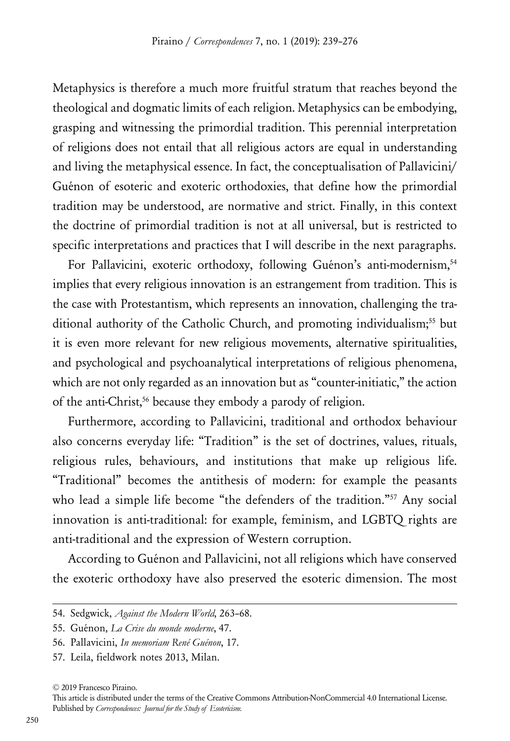Metaphysics is therefore a much more fruitful stratum that reaches beyond the theological and dogmatic limits of each religion. Metaphysics can be embodying, grasping and witnessing the primordial tradition. This perennial interpretation of religions does not entail that all religious actors are equal in understanding and living the metaphysical essence. In fact, the conceptualisation of Pallavicini/ Guénon of esoteric and exoteric orthodoxies, that define how the primordial tradition may be understood, are normative and strict. Finally, in this context the doctrine of primordial tradition is not at all universal, but is restricted to specific interpretations and practices that I will describe in the next paragraphs.

For Pallavicini, exoteric orthodoxy, following Guénon's anti-modernism,<sup>54</sup> implies that every religious innovation is an estrangement from tradition. This is the case with Protestantism, which represents an innovation, challenging the traditional authority of the Catholic Church, and promoting individualism;<sup>55</sup> but it is even more relevant for new religious movements, alternative spiritualities, and psychological and psychoanalytical interpretations of religious phenomena, which are not only regarded as an innovation but as "counter-initiatic," the action of the anti-Christ,<sup>56</sup> because they embody a parody of religion.

Furthermore, according to Pallavicini, traditional and orthodox behaviour also concerns everyday life: "Tradition" is the set of doctrines, values, rituals, religious rules, behaviours, and institutions that make up religious life. "Traditional" becomes the antithesis of modern: for example the peasants who lead a simple life become "the defenders of the tradition."<sup>57</sup> Any social innovation is anti-traditional: for example, feminism, and LGBTQ rights are anti-traditional and the expression of Western corruption.

According to Guénon and Pallavicini, not all religions which have conserved the exoteric orthodoxy have also preserved the esoteric dimension. The most

57. Leila, fieldwork notes 2013, Milan.

<sup>54.</sup> Sedgwick, *Against the Modern World*, 263–68.

<sup>55.</sup> Guénon, *La Crise du monde moderne*, 47.

<sup>56.</sup> Pallavicini, *In memoriam René Guénon*, 17.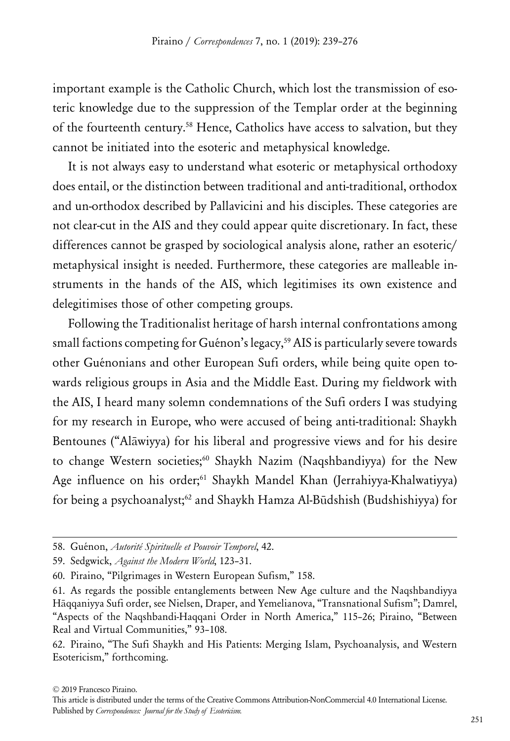important example is the Catholic Church, which lost the transmission of esoteric knowledge due to the suppression of the Templar order at the beginning of the fourteenth century.58 Hence, Catholics have access to salvation, but they cannot be initiated into the esoteric and metaphysical knowledge.

It is not always easy to understand what esoteric or metaphysical orthodoxy does entail, or the distinction between traditional and anti-traditional, orthodox and un-orthodox described by Pallavicini and his disciples. These categories are not clear-cut in the AIS and they could appear quite discretionary. In fact, these differences cannot be grasped by sociological analysis alone, rather an esoteric/ metaphysical insight is needed. Furthermore, these categories are malleable instruments in the hands of the AIS, which legitimises its own existence and delegitimises those of other competing groups.

Following the Traditionalist heritage of harsh internal confrontations among small factions competing for Guénon's legacy,<sup>59</sup> AIS is particularly severe towards other Guénonians and other European Sufi orders, while being quite open towards religious groups in Asia and the Middle East. During my fieldwork with the AIS, I heard many solemn condemnations of the Sufi orders I was studying for my research in Europe, who were accused of being anti-traditional: Shaykh Bentounes ("Alāwiyya) for his liberal and progressive views and for his desire to change Western societies;<sup>60</sup> Shaykh Nazim (Naqshbandiyya) for the New Age influence on his order;<sup>61</sup> Shaykh Mandel Khan (Jerrahiyya-Khalwatiyya) for being a psychoanalyst;<sup>62</sup> and Shaykh Hamza Al-Būdshish (Budshishiyya) for

<sup>58.</sup> Guénon, *Autorité Spirituelle et Pouvoir Temporel*, 42.

<sup>59.</sup> Sedgwick, *Against the Modern World*, 123–31.

<sup>60.</sup> Piraino, "Pilgrimages in Western European Sufism," 158.

<sup>61.</sup> As regards the possible entanglements between New Age culture and the Naqshbandiyya Hāqqaniyya Sufi order, see Nielsen, Draper, and Yemelianova, "Transnational Sufism"; Damrel, "Aspects of the Naqshbandi-Haqqani Order in North America," 115–26; Piraino, "Between Real and Virtual Communities," 93–108.

<sup>62.</sup> Piraino, "The Sufi Shaykh and His Patients: Merging Islam, Psychoanalysis, and Western Esotericism," forthcoming.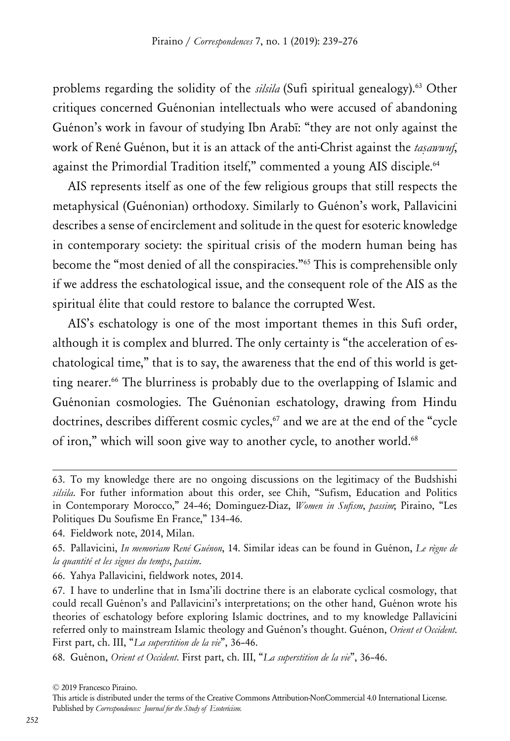problems regarding the solidity of the *silsila* (Sufi spiritual genealogy).63 Other critiques concerned Guénonian intellectuals who were accused of abandoning Guénon's work in favour of studying Ibn Arabī: "they are not only against the work of René Guénon, but it is an attack of the anti-Christ against the *taṣawwuf*, against the Primordial Tradition itself," commented a young AIS disciple.<sup>64</sup>

AIS represents itself as one of the few religious groups that still respects the metaphysical (Guénonian) orthodoxy. Similarly to Guénon's work, Pallavicini describes a sense of encirclement and solitude in the quest for esoteric knowledge in contemporary society: the spiritual crisis of the modern human being has become the "most denied of all the conspiracies."65 This is comprehensible only if we address the eschatological issue, and the consequent role of the AIS as the spiritual élite that could restore to balance the corrupted West.

AIS's eschatology is one of the most important themes in this Sufi order, although it is complex and blurred. The only certainty is "the acceleration of eschatological time," that is to say, the awareness that the end of this world is getting nearer.<sup>66</sup> The blurriness is probably due to the overlapping of Islamic and Guénonian cosmologies. The Guénonian eschatology, drawing from Hindu doctrines, describes different cosmic cycles, $67$  and we are at the end of the "cycle of iron," which will soon give way to another cycle, to another world.<sup>68</sup>

This article is distributed under the terms of the Creative Commons Attribution-NonCommercial 4.0 International License. Published by *Correspondences: Journal for the Study of Esotericism.*

<sup>63.</sup> To my knowledge there are no ongoing discussions on the legitimacy of the Budshishi *silsila*. For futher information about this order, see Chih, "Sufism, Education and Politics in Contemporary Morocco," 24–46; Dominguez-Diaz, *Women in Sufism*, *passim*; Piraino, "Les Politiques Du Soufisme En France," 134–46.

<sup>64.</sup> Fieldwork note, 2014, Milan.

<sup>65.</sup> Pallavicini, *In memoriam René Guénon*, 14. Similar ideas can be found in Guénon, *Le règne de la quantité et les signes du temps*, *passim*.

<sup>66.</sup> Yahya Pallavicini, fieldwork notes, 2014.

<sup>67.</sup> I have to underline that in Isma'ili doctrine there is an elaborate cyclical cosmology, that could recall Guénon's and Pallavicini's interpretations; on the other hand, Guénon wrote his theories of eschatology before exploring Islamic doctrines, and to my knowledge Pallavicini referred only to mainstream Islamic theology and Guénon's thought. Guénon, *Orient et Occident*. First part, ch. III, "*La superstition de la vie*", 36–46.

<sup>68.</sup> Guénon, *Orient et Occident*. First part, ch. III, "*La superstition de la vie*", 36–46.

<sup>© 2019</sup> Francesco Piraino.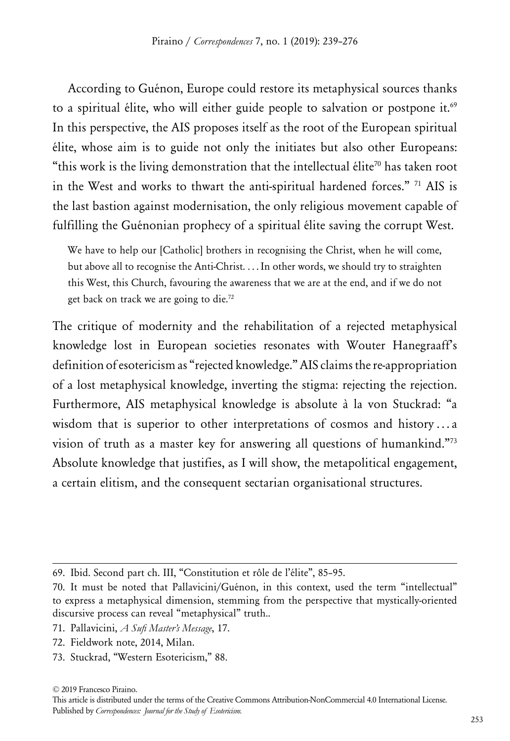According to Guénon, Europe could restore its metaphysical sources thanks to a spiritual élite, who will either guide people to salvation or postpone it.<sup>69</sup> In this perspective, the AIS proposes itself as the root of the European spiritual élite, whose aim is to guide not only the initiates but also other Europeans: "this work is the living demonstration that the intellectual élite<sup>70</sup> has taken root in the West and works to thwart the anti-spiritual hardened forces." 71 AIS is the last bastion against modernisation, the only religious movement capable of fulfilling the Guénonian prophecy of a spiritual élite saving the corrupt West.

We have to help our [Catholic] brothers in recognising the Christ, when he will come, but above all to recognise the Anti-Christ. . . . In other words, we should try to straighten this West, this Church, favouring the awareness that we are at the end, and if we do not get back on track we are going to die.72

The critique of modernity and the rehabilitation of a rejected metaphysical knowledge lost in European societies resonates with Wouter Hanegraaff's definition of esotericism as "rejected knowledge." AIS claims the re-appropriation of a lost metaphysical knowledge, inverting the stigma: rejecting the rejection. Furthermore, AIS metaphysical knowledge is absolute à la von Stuckrad: "a wisdom that is superior to other interpretations of cosmos and history...a vision of truth as a master key for answering all questions of humankind."73 Absolute knowledge that justifies, as I will show, the metapolitical engagement, a certain elitism, and the consequent sectarian organisational structures.

73. Stuckrad, "Western Esotericism," 88.

<sup>69.</sup> Ibid. Second part ch. III, "Constitution et rôle de l'élite", 85–95.

<sup>70.</sup> It must be noted that Pallavicini/Guénon, in this context, used the term "intellectual" to express a metaphysical dimension, stemming from the perspective that mystically-oriented discursive process can reveal "metaphysical" truth..

<sup>71.</sup> Pallavicini, *A Sufi Master's Message*, 17.

<sup>72.</sup> Fieldwork note, 2014, Milan.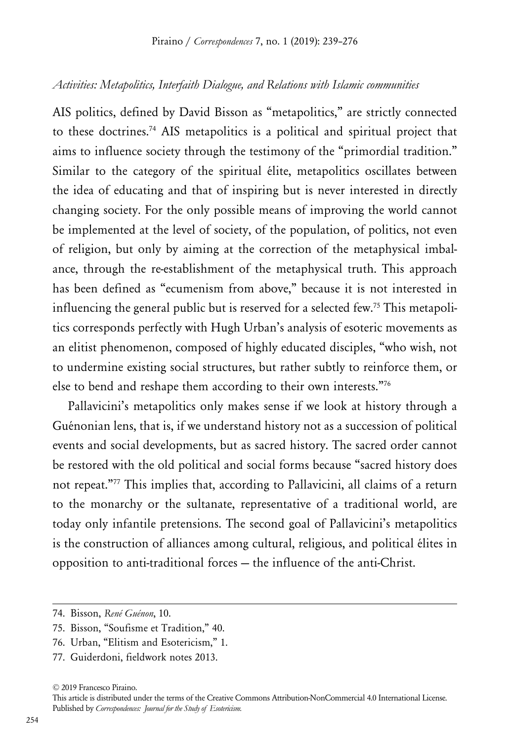#### *Activities: Metapolitics, Interfaith Dialogue, and Relations with Islamic communities*

AIS politics, defined by David Bisson as "metapolitics," are strictly connected to these doctrines.74 AIS metapolitics is a political and spiritual project that aims to influence society through the testimony of the "primordial tradition." Similar to the category of the spiritual élite, metapolitics oscillates between the idea of educating and that of inspiring but is never interested in directly changing society. For the only possible means of improving the world cannot be implemented at the level of society, of the population, of politics, not even of religion, but only by aiming at the correction of the metaphysical imbalance, through the re-establishment of the metaphysical truth. This approach has been defined as "ecumenism from above," because it is not interested in influencing the general public but is reserved for a selected few.<sup>75</sup> This metapolitics corresponds perfectly with Hugh Urban's analysis of esoteric movements as an elitist phenomenon, composed of highly educated disciples, "who wish, not to undermine existing social structures, but rather subtly to reinforce them, or else to bend and reshape them according to their own interests."76

Pallavicini's metapolitics only makes sense if we look at history through a Guénonian lens, that is, if we understand history not as a succession of political events and social developments, but as sacred history. The sacred order cannot be restored with the old political and social forms because "sacred history does not repeat."77 This implies that, according to Pallavicini, all claims of a return to the monarchy or the sultanate, representative of a traditional world, are today only infantile pretensions. The second goal of Pallavicini's metapolitics is the construction of alliances among cultural, religious, and political élites in opposition to anti-traditional forces — the influence of the anti-Christ.

<sup>74.</sup> Bisson, *René Guénon*, 10.

<sup>75.</sup> Bisson, "Soufisme et Tradition," 40.

<sup>76.</sup> Urban, "Elitism and Esotericism," 1.

<sup>77.</sup> Guiderdoni, fieldwork notes 2013.

<sup>© 2019</sup> Francesco Piraino.

This article is distributed under the terms of the Creative Commons Attribution-NonCommercial 4.0 International License. Published by *Correspondences: Journal for the Study of Esotericism.*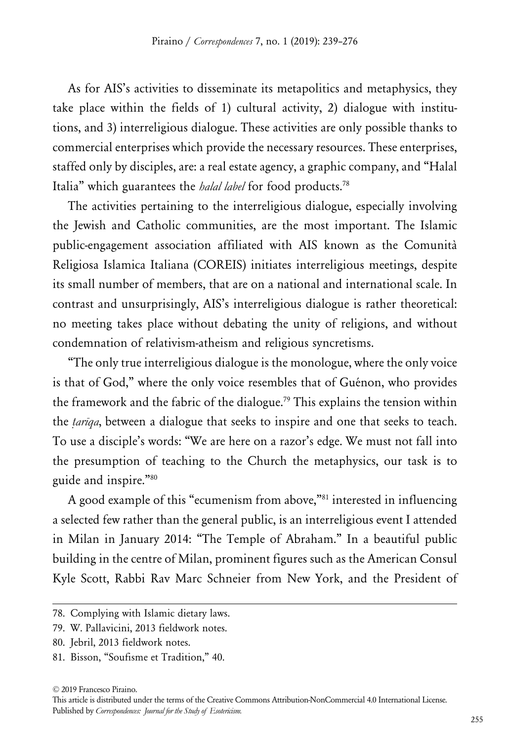As for AIS's activities to disseminate its metapolitics and metaphysics, they take place within the fields of 1) cultural activity, 2) dialogue with institutions, and 3) interreligious dialogue. These activities are only possible thanks to commercial enterprises which provide the necessary resources. These enterprises, staffed only by disciples, are: a real estate agency, a graphic company, and "Halal Italia" which guarantees the *halal label* for food products.78

The activities pertaining to the interreligious dialogue, especially involving the Jewish and Catholic communities, are the most important. The Islamic public-engagement association affiliated with AIS known as the Comunità Religiosa Islamica Italiana (COREIS) initiates interreligious meetings, despite its small number of members, that are on a national and international scale. In contrast and unsurprisingly, AIS's interreligious dialogue is rather theoretical: no meeting takes place without debating the unity of religions, and without condemnation of relativism-atheism and religious syncretisms.

"The only true interreligious dialogue is the monologue, where the only voice is that of God," where the only voice resembles that of Guénon, who provides the framework and the fabric of the dialogue.<sup>79</sup> This explains the tension within the *ṭarīqa*, between a dialogue that seeks to inspire and one that seeks to teach. To use a disciple's words: "We are here on a razor's edge. We must not fall into the presumption of teaching to the Church the metaphysics, our task is to guide and inspire."80

A good example of this "ecumenism from above,"81 interested in influencing a selected few rather than the general public, is an interreligious event I attended in Milan in January 2014: "The Temple of Abraham." In a beautiful public building in the centre of Milan, prominent figures such as the American Consul Kyle Scott, Rabbi Rav Marc Schneier from New York, and the President of

<sup>78.</sup> Complying with Islamic dietary laws.

<sup>79.</sup> W. Pallavicini, 2013 fieldwork notes.

<sup>80.</sup> Jebril, 2013 fieldwork notes.

<sup>81.</sup> Bisson, "Soufisme et Tradition," 40.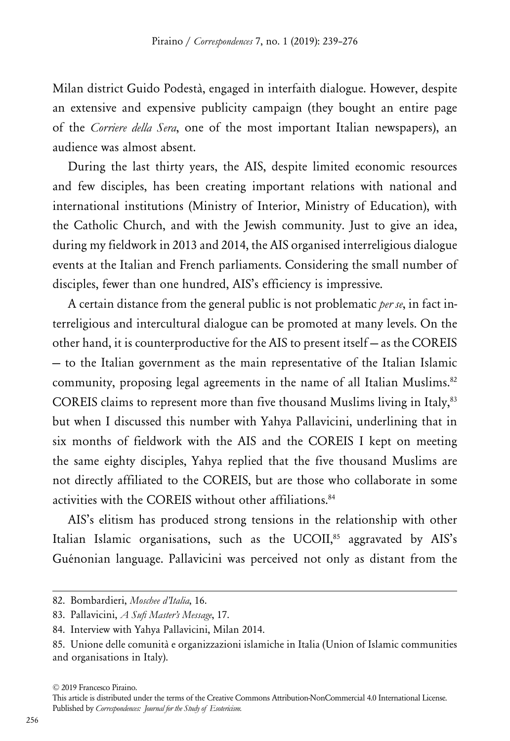Milan district Guido Podestà, engaged in interfaith dialogue. However, despite an extensive and expensive publicity campaign (they bought an entire page of the *Corriere della Sera*, one of the most important Italian newspapers), an audience was almost absent.

During the last thirty years, the AIS, despite limited economic resources and few disciples, has been creating important relations with national and international institutions (Ministry of Interior, Ministry of Education), with the Catholic Church, and with the Jewish community. Just to give an idea, during my fieldwork in 2013 and 2014, the AIS organised interreligious dialogue events at the Italian and French parliaments. Considering the small number of disciples, fewer than one hundred, AIS's efficiency is impressive.

A certain distance from the general public is not problematic *per se*, in fact interreligious and intercultural dialogue can be promoted at many levels. On the other hand, it is counterproductive for the AIS to present itself — as the COREIS — to the Italian government as the main representative of the Italian Islamic community, proposing legal agreements in the name of all Italian Muslims.<sup>82</sup> COREIS claims to represent more than five thousand Muslims living in Italy, 83 but when I discussed this number with Yahya Pallavicini, underlining that in six months of fieldwork with the AIS and the COREIS I kept on meeting the same eighty disciples, Yahya replied that the five thousand Muslims are not directly affiliated to the COREIS, but are those who collaborate in some activities with the COREIS without other affiliations.<sup>84</sup>

AIS's elitism has produced strong tensions in the relationship with other Italian Islamic organisations, such as the UCOII,<sup>85</sup> aggravated by AIS's Guénonian language. Pallavicini was perceived not only as distant from the

<sup>82.</sup> Bombardieri, *Moschee d'Italia*, 16.

<sup>83.</sup> Pallavicini, *A Sufi Master's Message*, 17.

<sup>84.</sup> Interview with Yahya Pallavicini, Milan 2014.

<sup>85.</sup> Unione delle comunità e organizzazioni islamiche in Italia (Union of Islamic communities and organisations in Italy).

<sup>© 2019</sup> Francesco Piraino.

This article is distributed under the terms of the Creative Commons Attribution-NonCommercial 4.0 International License. Published by *Correspondences: Journal for the Study of Esotericism.*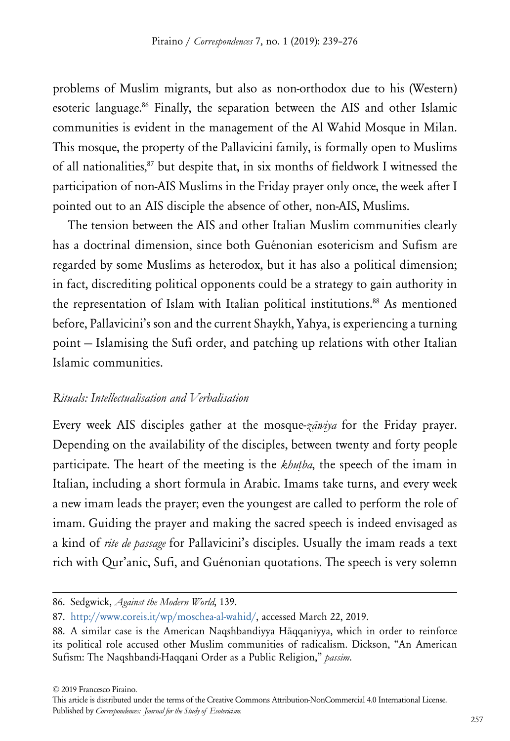problems of Muslim migrants, but also as non-orthodox due to his (Western) esoteric language.86 Finally, the separation between the AIS and other Islamic communities is evident in the management of the Al Wahid Mosque in Milan. This mosque, the property of the Pallavicini family, is formally open to Muslims of all nationalities,<sup>87</sup> but despite that, in six months of fieldwork I witnessed the participation of non-AIS Muslims in the Friday prayer only once, the week after I pointed out to an AIS disciple the absence of other, non-AIS, Muslims.

The tension between the AIS and other Italian Muslim communities clearly has a doctrinal dimension, since both Guénonian esotericism and Sufism are regarded by some Muslims as heterodox, but it has also a political dimension; in fact, discrediting political opponents could be a strategy to gain authority in the representation of Islam with Italian political institutions.<sup>88</sup> As mentioned before, Pallavicini's son and the current Shaykh, Yahya, is experiencing a turning point — Islamising the Sufi order, and patching up relations with other Italian Islamic communities.

#### *Rituals: Intellectualisation and Verbalisation*

Every week AIS disciples gather at the mosque-*zāwiya* for the Friday prayer. Depending on the availability of the disciples, between twenty and forty people participate. The heart of the meeting is the *khutha*, the speech of the imam in Italian, including a short formula in Arabic. Imams take turns, and every week a new imam leads the prayer; even the youngest are called to perform the role of imam. Guiding the prayer and making the sacred speech is indeed envisaged as a kind of *rite de passage* for Pallavicini's disciples. Usually the imam reads a text rich with Qur'anic, Sufi, and Guénonian quotations. The speech is very solemn

<sup>86.</sup> Sedgwick, *Against the Modern World*, 139.

<sup>87.</sup> <http://www.coreis.it/wp/moschea-al-wahid/>, accessed March 22, 2019.

<sup>88.</sup> A similar case is the American Naqshbandiyya Hāqqaniyya, which in order to reinforce its political role accused other Muslim communities of radicalism. Dickson, "An American Sufism: The Naqshbandi-Haqqani Order as a Public Religion," *passim*.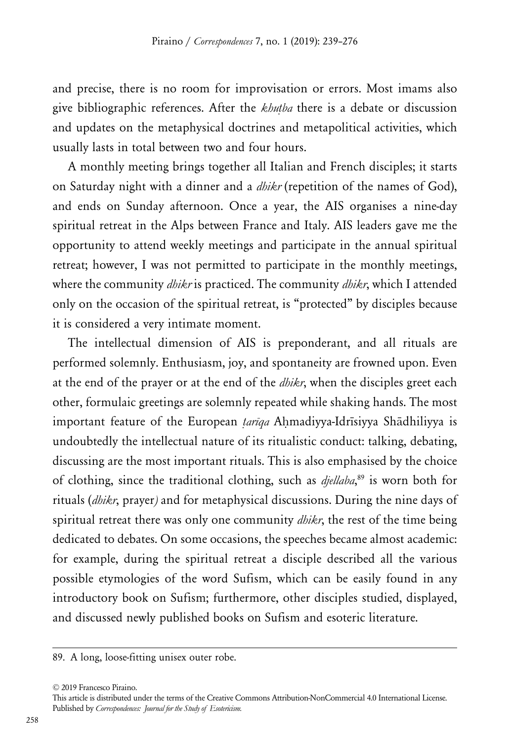and precise, there is no room for improvisation or errors. Most imams also give bibliographic references. After the *khuṭba* there is a debate or discussion and updates on the metaphysical doctrines and metapolitical activities, which usually lasts in total between two and four hours.

A monthly meeting brings together all Italian and French disciples; it starts on Saturday night with a dinner and a *dhikr* (repetition of the names of God), and ends on Sunday afternoon. Once a year, the AIS organises a nine-day spiritual retreat in the Alps between France and Italy. AIS leaders gave me the opportunity to attend weekly meetings and participate in the annual spiritual retreat; however, I was not permitted to participate in the monthly meetings, where the community *dhikr* is practiced. The community *dhikr*, which I attended only on the occasion of the spiritual retreat, is "protected" by disciples because it is considered a very intimate moment.

The intellectual dimension of AIS is preponderant, and all rituals are performed solemnly. Enthusiasm, joy, and spontaneity are frowned upon. Even at the end of the prayer or at the end of the *dhikr*, when the disciples greet each other, formulaic greetings are solemnly repeated while shaking hands. The most important feature of the European *ṭarīqa* Aḥmadiyya-Idrīsiyya Shādhiliyya is undoubtedly the intellectual nature of its ritualistic conduct: talking, debating, discussing are the most important rituals. This is also emphasised by the choice of clothing, since the traditional clothing, such as *djellaba*, 89 is worn both for rituals (*dhikr*, prayer*)* and for metaphysical discussions. During the nine days of spiritual retreat there was only one community *dhikr*, the rest of the time being dedicated to debates. On some occasions, the speeches became almost academic: for example, during the spiritual retreat a disciple described all the various possible etymologies of the word Sufism, which can be easily found in any introductory book on Sufism; furthermore, other disciples studied, displayed, and discussed newly published books on Sufism and esoteric literature.

<sup>89.</sup> A long, loose-fitting unisex outer robe.

<sup>© 2019</sup> Francesco Piraino.

This article is distributed under the terms of the Creative Commons Attribution-NonCommercial 4.0 International License. Published by *Correspondences: Journal for the Study of Esotericism.*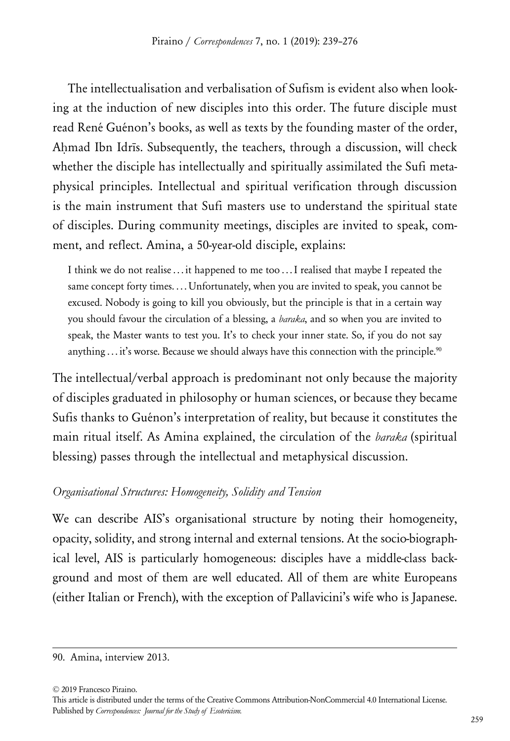The intellectualisation and verbalisation of Sufism is evident also when looking at the induction of new disciples into this order. The future disciple must read René Guénon's books, as well as texts by the founding master of the order, Ahmad Ibn Idrīs. Subsequently, the teachers, through a discussion, will check whether the disciple has intellectually and spiritually assimilated the Sufi metaphysical principles. Intellectual and spiritual verification through discussion is the main instrument that Sufi masters use to understand the spiritual state of disciples. During community meetings, disciples are invited to speak, comment, and reflect. Amina, a 50-year-old disciple, explains:

I think we do not realise ... it happened to me too ... I realised that maybe I repeated the same concept forty times.... Unfortunately, when you are invited to speak, you cannot be excused. Nobody is going to kill you obviously, but the principle is that in a certain way you should favour the circulation of a blessing, a *baraka*, and so when you are invited to speak, the Master wants to test you. It's to check your inner state. So, if you do not say anything  $\dots$  it's worse. Because we should always have this connection with the principle.<sup>90</sup>

The intellectual/verbal approach is predominant not only because the majority of disciples graduated in philosophy or human sciences, or because they became Sufis thanks to Guénon's interpretation of reality, but because it constitutes the main ritual itself. As Amina explained, the circulation of the *baraka* (spiritual blessing) passes through the intellectual and metaphysical discussion.

# *Organisational Structures: Homogeneity, Solidity and Tension*

We can describe AIS's organisational structure by noting their homogeneity, opacity, solidity, and strong internal and external tensions. At the socio-biographical level, AIS is particularly homogeneous: disciples have a middle-class background and most of them are well educated. All of them are white Europeans (either Italian or French), with the exception of Pallavicini's wife who is Japanese.

<sup>90.</sup> Amina, interview 2013.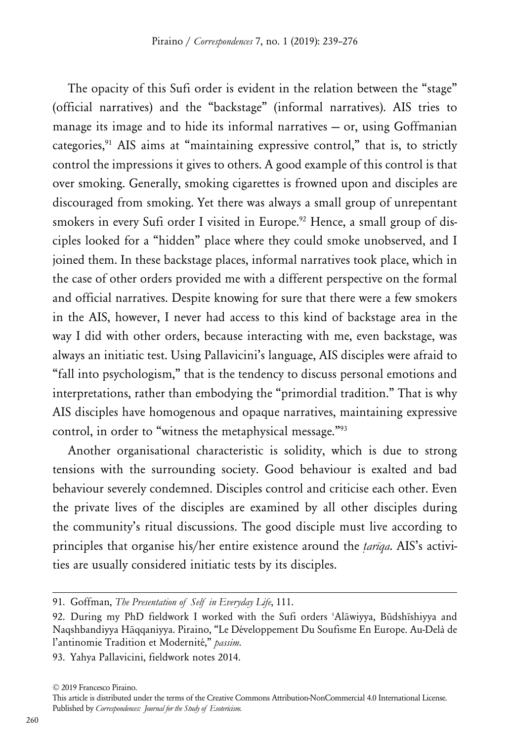The opacity of this Sufi order is evident in the relation between the "stage" (official narratives) and the "backstage" (informal narratives). AIS tries to manage its image and to hide its informal narratives — or, using Goffmanian categories,<sup>91</sup> AIS aims at "maintaining expressive control," that is, to strictly control the impressions it gives to others. A good example of this control is that over smoking. Generally, smoking cigarettes is frowned upon and disciples are discouraged from smoking. Yet there was always a small group of unrepentant smokers in every Sufi order I visited in Europe.<sup>92</sup> Hence, a small group of disciples looked for a "hidden" place where they could smoke unobserved, and I joined them. In these backstage places, informal narratives took place, which in the case of other orders provided me with a different perspective on the formal and official narratives. Despite knowing for sure that there were a few smokers in the AIS, however, I never had access to this kind of backstage area in the way I did with other orders, because interacting with me, even backstage, was always an initiatic test. Using Pallavicini's language, AIS disciples were afraid to "fall into psychologism," that is the tendency to discuss personal emotions and interpretations, rather than embodying the "primordial tradition." That is why AIS disciples have homogenous and opaque narratives, maintaining expressive control, in order to "witness the metaphysical message."93

Another organisational characteristic is solidity, which is due to strong tensions with the surrounding society. Good behaviour is exalted and bad behaviour severely condemned. Disciples control and criticise each other. Even the private lives of the disciples are examined by all other disciples during the community's ritual discussions. The good disciple must live according to principles that organise his/her entire existence around the *ṭarīqa*. AIS's activities are usually considered initiatic tests by its disciples.

93. Yahya Pallavicini, fieldwork notes 2014.

<sup>91.</sup> Goffman, *The Presentation of Self in Everyday Life*, 111.

<sup>92.</sup> During my PhD fieldwork I worked with the Sufi orders ʿAlāwiyya, Būdshīshiyya and Naqshbandiyya Hāqqaniyya. Piraino, "Le Développement Du Soufisme En Europe. Au-Delà de l'antinomie Tradition et Modernité," *passim*.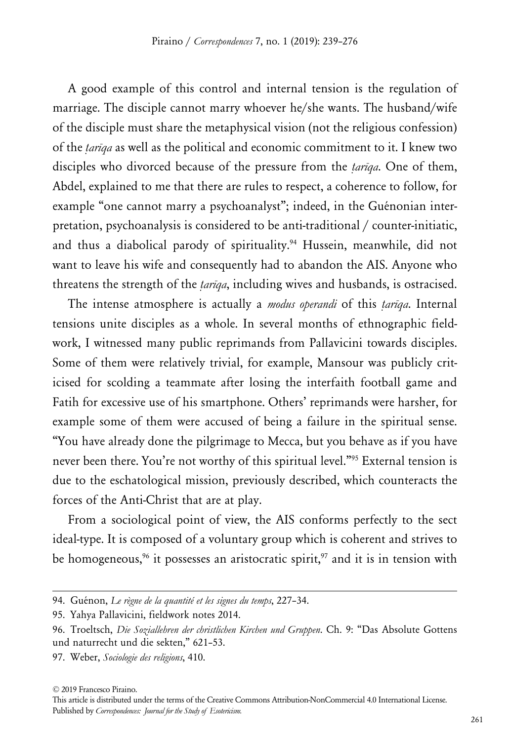A good example of this control and internal tension is the regulation of marriage. The disciple cannot marry whoever he/she wants. The husband/wife of the disciple must share the metaphysical vision (not the religious confession) of the *ṭarīqa* as well as the political and economic commitment to it. I knew two disciples who divorced because of the pressure from the *ṭarīqa*. One of them, Abdel, explained to me that there are rules to respect, a coherence to follow, for example "one cannot marry a psychoanalyst"; indeed, in the Guénonian interpretation, psychoanalysis is considered to be anti-traditional / counter-initiatic, and thus a diabolical parody of spirituality.<sup>94</sup> Hussein, meanwhile, did not want to leave his wife and consequently had to abandon the AIS. Anyone who threatens the strength of the *ṭarīqa*, including wives and husbands, is ostracised.

The intense atmosphere is actually a *modus operandi* of this *ṭarīqa*. Internal tensions unite disciples as a whole. In several months of ethnographic fieldwork, I witnessed many public reprimands from Pallavicini towards disciples. Some of them were relatively trivial, for example, Mansour was publicly criticised for scolding a teammate after losing the interfaith football game and Fatih for excessive use of his smartphone. Others' reprimands were harsher, for example some of them were accused of being a failure in the spiritual sense. "You have already done the pilgrimage to Mecca, but you behave as if you have never been there. You're not worthy of this spiritual level."<sup>95</sup> External tension is due to the eschatological mission, previously described, which counteracts the forces of the Anti-Christ that are at play.

From a sociological point of view, the AIS conforms perfectly to the sect ideal-type. It is composed of a voluntary group which is coherent and strives to be homogeneous,<sup>96</sup> it possesses an aristocratic spirit,<sup>97</sup> and it is in tension with

<sup>94.</sup> Guénon, *Le règne de la quantité et les signes du temps*, 227–34.

<sup>95.</sup> Yahya Pallavicini, fieldwork notes 2014.

<sup>96.</sup> Troeltsch, *Die Soziallehren der christlichen Kirchen und Gruppen*. Ch. 9: "Das Absolute Gottens und naturrecht und die sekten," 621–53.

<sup>97.</sup> Weber, *Sociologie des religions*, 410.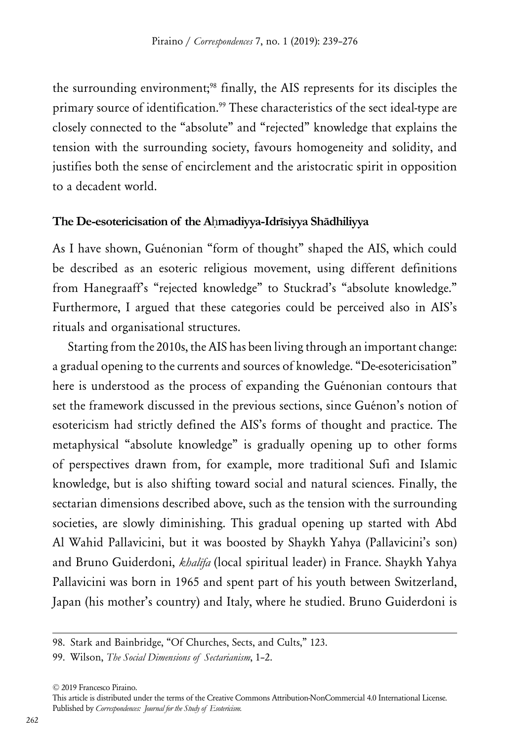the surrounding environment;<sup>98</sup> finally, the AIS represents for its disciples the primary source of identification.<sup>99</sup> These characteristics of the sect ideal-type are closely connected to the "absolute" and "rejected" knowledge that explains the tension with the surrounding society, favours homogeneity and solidity, and justifies both the sense of encirclement and the aristocratic spirit in opposition to a decadent world.

# **The De-esotericisation of the A**ḥ**madiyya-Idrīsiyya Shādhiliyya**

As I have shown, Guénonian "form of thought" shaped the AIS, which could be described as an esoteric religious movement, using different definitions from Hanegraaff's "rejected knowledge" to Stuckrad's "absolute knowledge." Furthermore, I argued that these categories could be perceived also in AIS's rituals and organisational structures.

Starting from the 2010s, the AIS has been living through an important change: a gradual opening to the currents and sources of knowledge. "De-esotericisation" here is understood as the process of expanding the Guénonian contours that set the framework discussed in the previous sections, since Guénon's notion of esotericism had strictly defined the AIS's forms of thought and practice. The metaphysical "absolute knowledge" is gradually opening up to other forms of perspectives drawn from, for example, more traditional Sufi and Islamic knowledge, but is also shifting toward social and natural sciences. Finally, the sectarian dimensions described above, such as the tension with the surrounding societies, are slowly diminishing. This gradual opening up started with Abd Al Wahid Pallavicini, but it was boosted by Shaykh Yahya (Pallavicini's son) and Bruno Guiderdoni, *khalīfa* (local spiritual leader) in France. Shaykh Yahya Pallavicini was born in 1965 and spent part of his youth between Switzerland, Japan (his mother's country) and Italy, where he studied. Bruno Guiderdoni is

<sup>98.</sup> Stark and Bainbridge, "Of Churches, Sects, and Cults," 123.

<sup>99.</sup> Wilson, *The Social Dimensions of Sectarianism*, 1–2.

<sup>© 2019</sup> Francesco Piraino.

This article is distributed under the terms of the Creative Commons Attribution-NonCommercial 4.0 International License. Published by *Correspondences: Journal for the Study of Esotericism.*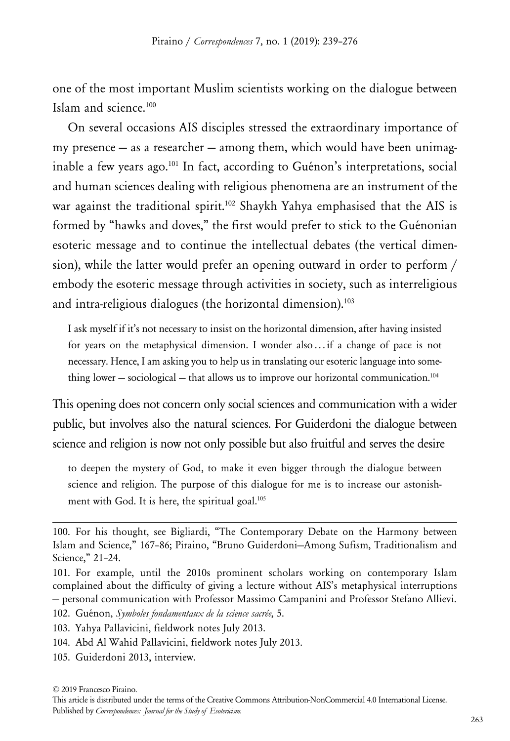one of the most important Muslim scientists working on the dialogue between Islam and science.100

On several occasions AIS disciples stressed the extraordinary importance of my presence  $-$  as a researcher  $-$  among them, which would have been unimaginable a few years ago.101 In fact, according to Guénon's interpretations, social and human sciences dealing with religious phenomena are an instrument of the war against the traditional spirit.<sup>102</sup> Shaykh Yahya emphasised that the AIS is formed by "hawks and doves," the first would prefer to stick to the Guénonian esoteric message and to continue the intellectual debates (the vertical dimension), while the latter would prefer an opening outward in order to perform / embody the esoteric message through activities in society, such as interreligious and intra-religious dialogues (the horizontal dimension).<sup>103</sup>

I ask myself if it's not necessary to insist on the horizontal dimension, after having insisted for years on the metaphysical dimension. I wonder also ... if a change of pace is not necessary. Hence, I am asking you to help us in translating our esoteric language into something lower  $-$  sociological  $-$  that allows us to improve our horizontal communication.<sup>104</sup>

This opening does not concern only social sciences and communication with a wider public, but involves also the natural sciences. For Guiderdoni the dialogue between science and religion is now not only possible but also fruitful and serves the desire

to deepen the mystery of God, to make it even bigger through the dialogue between science and religion. The purpose of this dialogue for me is to increase our astonishment with God. It is here, the spiritual goal.<sup>105</sup>

- 104. Abd Al Wahid Pallavicini, fieldwork notes July 2013.
- 105. Guiderdoni 2013, interview.

<sup>100.</sup> For his thought, see Bigliardi, "The Contemporary Debate on the Harmony between Islam and Science," 167–86; Piraino, "Bruno Guiderdoni—Among Sufism, Traditionalism and Science," 21–24.

<sup>101.</sup> For example, until the 2010s prominent scholars working on contemporary Islam complained about the difficulty of giving a lecture without AIS's metaphysical interruptions — personal communication with Professor Massimo Campanini and Professor Stefano Allievi.

<sup>102.</sup> Guénon, *Symboles fondamentaux de la science sacrée*, 5.

<sup>103.</sup> Yahya Pallavicini, fieldwork notes July 2013.

<sup>© 2019</sup> Francesco Piraino.

This article is distributed under the terms of the Creative Commons Attribution-NonCommercial 4.0 International License. Published by *Correspondences: Journal for the Study of Esotericism.*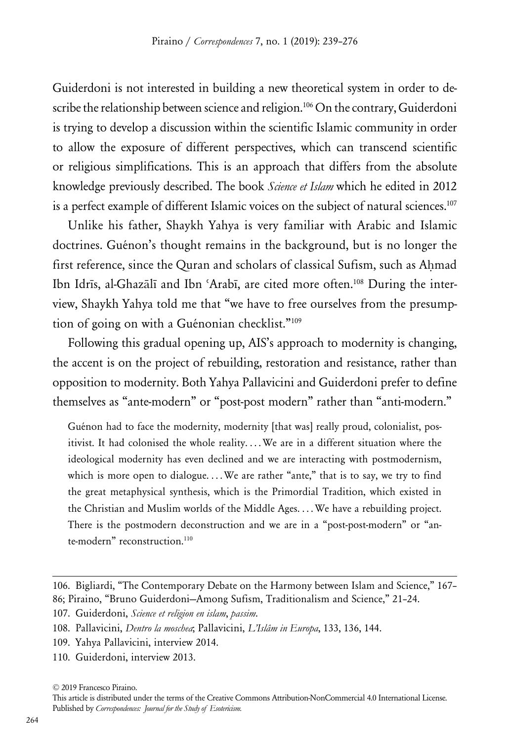Guiderdoni is not interested in building a new theoretical system in order to describe the relationship between science and religion.<sup>106</sup> On the contrary, Guiderdoni is trying to develop a discussion within the scientific Islamic community in order to allow the exposure of different perspectives, which can transcend scientific or religious simplifications. This is an approach that differs from the absolute knowledge previously described. The book *Science et Islam* which he edited in 2012 is a perfect example of different Islamic voices on the subject of natural sciences.<sup>107</sup>

Unlike his father, Shaykh Yahya is very familiar with Arabic and Islamic doctrines. Guénon's thought remains in the background, but is no longer the first reference, since the Ouran and scholars of classical Sufism, such as Ahmad Ibn Idrīs, al-Ghazālī and Ibn ʿArabī, are cited more often.108 During the interview, Shaykh Yahya told me that "we have to free ourselves from the presumption of going on with a Guénonian checklist."109

Following this gradual opening up, AIS's approach to modernity is changing, the accent is on the project of rebuilding, restoration and resistance, rather than opposition to modernity. Both Yahya Pallavicini and Guiderdoni prefer to define themselves as "ante-modern" or "post-post modern" rather than "anti-modern."

Guénon had to face the modernity, modernity [that was] really proud, colonialist, positivist. It had colonised the whole reality.... We are in a different situation where the ideological modernity has even declined and we are interacting with postmodernism, which is more open to dialogue.... We are rather "ante," that is to say, we try to find the great metaphysical synthesis, which is the Primordial Tradition, which existed in the Christian and Muslim worlds of the Middle Ages. . . . We have a rebuilding project. There is the postmodern deconstruction and we are in a "post-post-modern" or "ante-modern" reconstruction.<sup>110</sup>

110. Guiderdoni, interview 2013.

<sup>106.</sup> Bigliardi, "The Contemporary Debate on the Harmony between Islam and Science," 167– 86; Piraino, "Bruno Guiderdoni—Among Sufism, Traditionalism and Science," 21–24.

<sup>107.</sup> Guiderdoni, *Science et religion en islam*, *passim*.

<sup>108.</sup> Pallavicini, *Dentro la moschea*; Pallavicini, *L'Islâm in Europa*, 133, 136, 144.

<sup>109.</sup> Yahya Pallavicini, interview 2014.

This article is distributed under the terms of the Creative Commons Attribution-NonCommercial 4.0 International License. Published by *Correspondences: Journal for the Study of Esotericism.*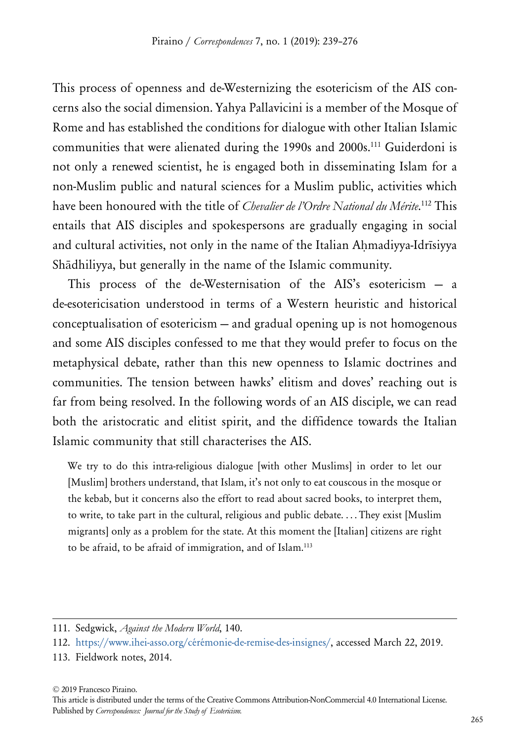This process of openness and de-Westernizing the esotericism of the AIS concerns also the social dimension. Yahya Pallavicini is a member of the Mosque of Rome and has established the conditions for dialogue with other Italian Islamic communities that were alienated during the 1990s and 2000s.111 Guiderdoni is not only a renewed scientist, he is engaged both in disseminating Islam for a non-Muslim public and natural sciences for a Muslim public, activities which have been honoured with the title of *Chevalier de l'Ordre National du Mérite*. <sup>112</sup> This entails that AIS disciples and spokespersons are gradually engaging in social and cultural activities, not only in the name of the Italian Ahmadiyya-Idrīsiyya Shādhiliyya, but generally in the name of the Islamic community.

This process of the de-Westernisation of the AIS's esotericism — a de-esotericisation understood in terms of a Western heuristic and historical conceptualisation of esotericism — and gradual opening up is not homogenous and some AIS disciples confessed to me that they would prefer to focus on the metaphysical debate, rather than this new openness to Islamic doctrines and communities. The tension between hawks' elitism and doves' reaching out is far from being resolved. In the following words of an AIS disciple, we can read both the aristocratic and elitist spirit, and the diffidence towards the Italian Islamic community that still characterises the AIS.

We try to do this intra-religious dialogue [with other Muslims] in order to let our [Muslim] brothers understand, that Islam, it's not only to eat couscous in the mosque or the kebab, but it concerns also the effort to read about sacred books, to interpret them, to write, to take part in the cultural, religious and public debate. . . . They exist [Muslim migrants] only as a problem for the state. At this moment the [Italian] citizens are right to be afraid, to be afraid of immigration, and of Islam.113

<sup>111.</sup> Sedgwick, *Against the Modern World*, 140.

<sup>112.</sup> [https://www.ihei-asso.org/cérémonie-de-remise-des-insignes/,](https://www.ihei-asso.org/cérémonie-de-remise-des-insignes/) accessed March 22, 2019.

<sup>113.</sup> Fieldwork notes, 2014.

This article is distributed under the terms of the Creative Commons Attribution-NonCommercial 4.0 International License. Published by *Correspondences: Journal for the Study of Esotericism.*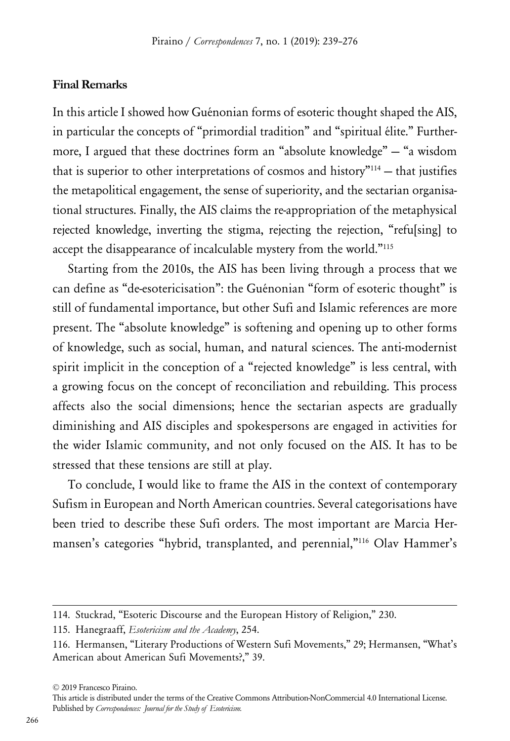#### **Final Remarks**

In this article I showed how Guénonian forms of esoteric thought shaped the AIS, in particular the concepts of "primordial tradition" and "spiritual élite." Furthermore, I argued that these doctrines form an "absolute knowledge" — "a wisdom that is superior to other interpretations of cosmos and history $^{\prime\prime\prime\prime\prime}$  – that justifies the metapolitical engagement, the sense of superiority, and the sectarian organisational structures. Finally, the AIS claims the re-appropriation of the metaphysical rejected knowledge, inverting the stigma, rejecting the rejection, "refu[sing] to accept the disappearance of incalculable mystery from the world."115

Starting from the 2010s, the AIS has been living through a process that we can define as "de-esotericisation": the Guénonian "form of esoteric thought" is still of fundamental importance, but other Sufi and Islamic references are more present. The "absolute knowledge" is softening and opening up to other forms of knowledge, such as social, human, and natural sciences. The anti-modernist spirit implicit in the conception of a "rejected knowledge" is less central, with a growing focus on the concept of reconciliation and rebuilding. This process affects also the social dimensions; hence the sectarian aspects are gradually diminishing and AIS disciples and spokespersons are engaged in activities for the wider Islamic community, and not only focused on the AIS. It has to be stressed that these tensions are still at play.

To conclude, I would like to frame the AIS in the context of contemporary Sufism in European and North American countries. Several categorisations have been tried to describe these Sufi orders. The most important are Marcia Hermansen's categories "hybrid, transplanted, and perennial,"<sup>116</sup> Olav Hammer's

<sup>114.</sup> Stuckrad, "Esoteric Discourse and the European History of Religion," 230.

<sup>115.</sup> Hanegraaff, *Esotericism and the Academy*, 254.

<sup>116.</sup> Hermansen, "Literary Productions of Western Sufi Movements," 29; Hermansen, "What's American about American Sufi Movements?," 39.

<sup>© 2019</sup> Francesco Piraino.

This article is distributed under the terms of the Creative Commons Attribution-NonCommercial 4.0 International License. Published by *Correspondences: Journal for the Study of Esotericism.*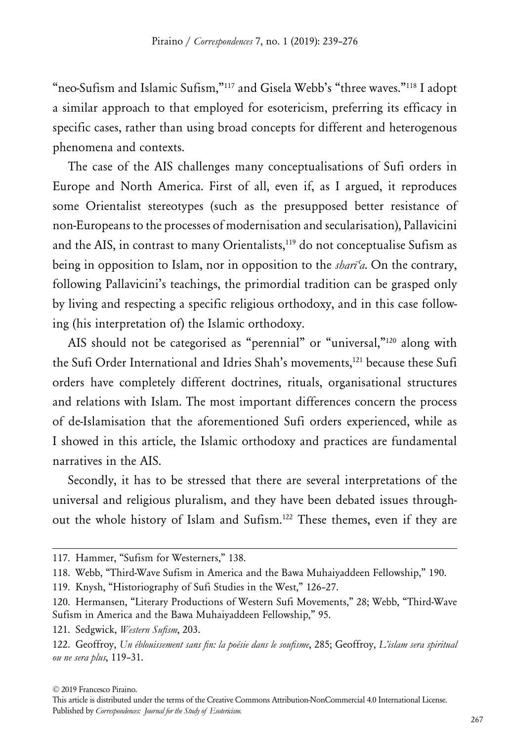"neo-Sufism and Islamic Sufism,"117 and Gisela Webb's "three waves."118 I adopt a similar approach to that employed for esotericism, preferring its efficacy in specific cases, rather than using broad concepts for different and heterogenous phenomena and contexts.

The case of the AIS challenges many conceptualisations of Sufi orders in Europe and North America. First of all, even if, as I argued, it reproduces some Orientalist stereotypes (such as the presupposed better resistance of non-Europeans to the processes of modernisation and secularisation), Pallavicini and the AIS, in contrast to many Orientalists,<sup>119</sup> do not conceptualise Sufism as being in opposition to Islam, nor in opposition to the *sharīʿa*. On the contrary, following Pallavicini's teachings, the primordial tradition can be grasped only by living and respecting a specific religious orthodoxy, and in this case following (his interpretation of) the Islamic orthodoxy.

AIS should not be categorised as "perennial" or "universal,"<sup>120</sup> along with the Sufi Order International and Idries Shah's movements,<sup>121</sup> because these Sufi orders have completely different doctrines, rituals, organisational structures and relations with Islam. The most important differences concern the process of de-Islamisation that the aforementioned Sufi orders experienced, while as I showed in this article, the Islamic orthodoxy and practices are fundamental narratives in the AIS.

Secondly, it has to be stressed that there are several interpretations of the universal and religious pluralism, and they have been debated issues throughout the whole history of Islam and Sufism.122 These themes, even if they are

<sup>117.</sup> Hammer, "Sufism for Westerners," 138.

<sup>118.</sup> Webb, "Third-Wave Sufism in America and the Bawa Muhaiyaddeen Fellowship," 190.

<sup>119.</sup> Knysh, "Historiography of Sufi Studies in the West," 126–27.

<sup>120.</sup> Hermansen, "Literary Productions of Western Sufi Movements," 28; Webb, "Third-Wave Sufism in America and the Bawa Muhaiyaddeen Fellowship," 95.

<sup>121.</sup> Sedgwick, *Western Sufism*, 203.

<sup>122.</sup> Geoffroy, *Un éblouissement sans fin: la poésie dans le soufisme*, 285; Geoffroy, *L'islam sera spiritual ou ne sera plus*, 119–31.

<sup>© 2019</sup> Francesco Piraino.

This article is distributed under the terms of the Creative Commons Attribution-NonCommercial 4.0 International License. Published by *Correspondences: Journal for the Study of Esotericism.*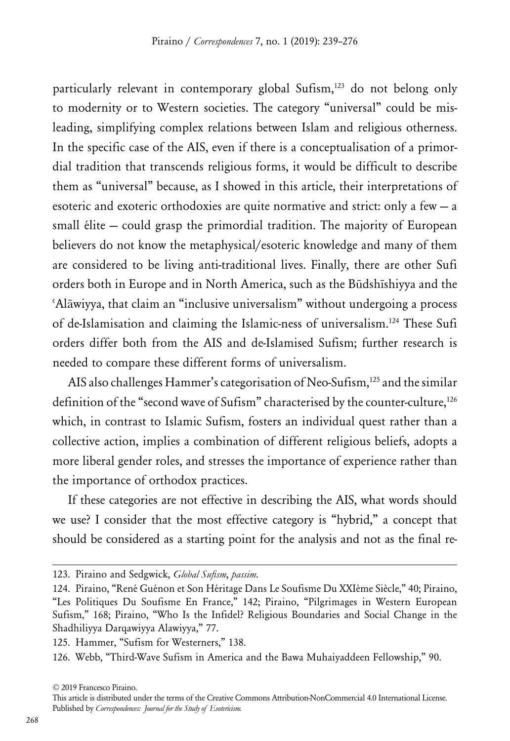particularly relevant in contemporary global Sufism,<sup>123</sup> do not belong only to modernity or to Western societies. The category "universal" could be misleading, simplifying complex relations between Islam and religious otherness. In the specific case of the AIS, even if there is a conceptualisation of a primordial tradition that transcends religious forms, it would be difficult to describe them as "universal" because, as I showed in this article, their interpretations of esoteric and exoteric orthodoxies are quite normative and strict: only a few — a small élite — could grasp the primordial tradition. The majority of European believers do not know the metaphysical/esoteric knowledge and many of them are considered to be living anti-traditional lives. Finally, there are other Sufi orders both in Europe and in North America, such as the Būdshīshiyya and the ʿAlāwiyya, that claim an "inclusive universalism" without undergoing a process of de-Islamisation and claiming the Islamic-ness of universalism.124 These Sufi orders differ both from the AIS and de-Islamised Sufism; further research is needed to compare these different forms of universalism.

AIS also challenges Hammer's categorisation of Neo-Sufism,<sup>125</sup> and the similar definition of the "second wave of Sufism" characterised by the counter-culture,<sup>126</sup> which, in contrast to Islamic Sufism, fosters an individual quest rather than a collective action, implies a combination of different religious beliefs, adopts a more liberal gender roles, and stresses the importance of experience rather than the importance of orthodox practices.

If these categories are not effective in describing the AIS, what words should we use? I consider that the most effective category is "hybrid," a concept that should be considered as a starting point for the analysis and not as the final re-

<sup>123.</sup> Piraino and Sedgwick, *Global Sufism*, *passim*.

<sup>124.</sup> Piraino, "René Guénon et Son Héritage Dans Le Soufisme Du XXIème Siècle," 40; Piraino, "Les Politiques Du Soufisme En France," 142; Piraino, "Pilgrimages in Western European Sufism," 168; Piraino, "Who Is the Infidel? Religious Boundaries and Social Change in the Shadhiliyya Darqawiyya Alawiyya," 77.

<sup>125.</sup> Hammer, "Sufism for Westerners," 138.

<sup>126.</sup> Webb, "Third-Wave Sufism in America and the Bawa Muhaiyaddeen Fellowship," 90.

<sup>© 2019</sup> Francesco Piraino.

This article is distributed under the terms of the Creative Commons Attribution-NonCommercial 4.0 International License. Published by *Correspondences: Journal for the Study of Esotericism.*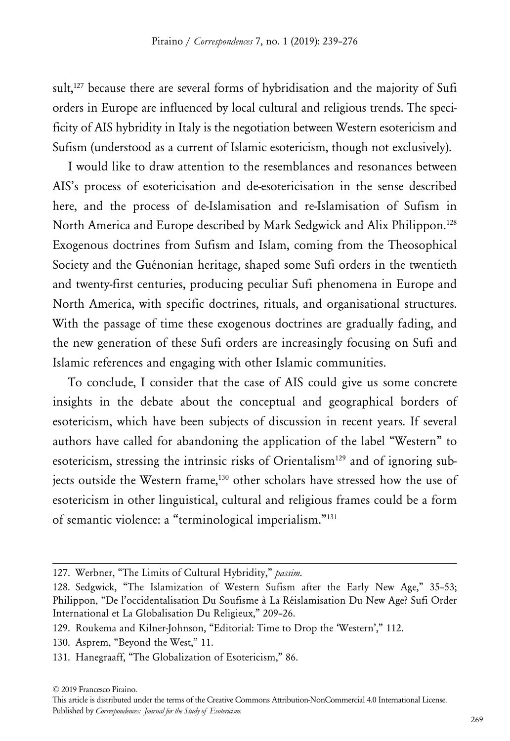sult,<sup>127</sup> because there are several forms of hybridisation and the majority of Sufi orders in Europe are influenced by local cultural and religious trends. The specificity of AIS hybridity in Italy is the negotiation between Western esotericism and Sufism (understood as a current of Islamic esotericism, though not exclusively).

I would like to draw attention to the resemblances and resonances between AIS's process of esotericisation and de-esotericisation in the sense described here, and the process of de-Islamisation and re-Islamisation of Sufism in North America and Europe described by Mark Sedgwick and Alix Philippon.128 Exogenous doctrines from Sufism and Islam, coming from the Theosophical Society and the Guénonian heritage, shaped some Sufi orders in the twentieth and twenty-first centuries, producing peculiar Sufi phenomena in Europe and North America, with specific doctrines, rituals, and organisational structures. With the passage of time these exogenous doctrines are gradually fading, and the new generation of these Sufi orders are increasingly focusing on Sufi and Islamic references and engaging with other Islamic communities.

To conclude, I consider that the case of AIS could give us some concrete insights in the debate about the conceptual and geographical borders of esotericism, which have been subjects of discussion in recent years. If several authors have called for abandoning the application of the label "Western" to esotericism, stressing the intrinsic risks of Orientalism<sup>129</sup> and of ignoring subjects outside the Western frame,<sup>130</sup> other scholars have stressed how the use of esotericism in other linguistical, cultural and religious frames could be a form of semantic violence: a "terminological imperialism."131

<sup>127.</sup> Werbner, "The Limits of Cultural Hybridity," *passim*.

<sup>128.</sup> Sedgwick, "The Islamization of Western Sufism after the Early New Age," 35–53; Philippon, "De l'occidentalisation Du Soufisme à La Réislamisation Du New Age? Sufi Order International et La Globalisation Du Religieux," 209–26.

<sup>129.</sup> Roukema and Kilner-Johnson, "Editorial: Time to Drop the 'Western'," 112.

<sup>130.</sup> Asprem, "Beyond the West," 11.

<sup>131.</sup> Hanegraaff, "The Globalization of Esotericism," 86.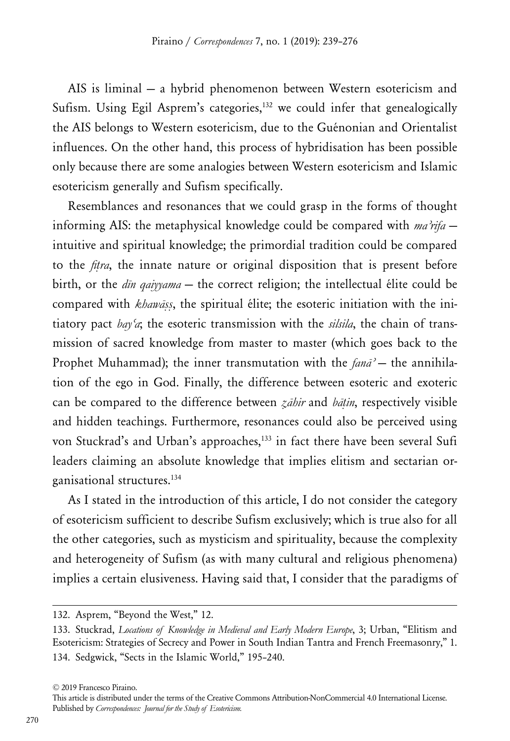AIS is liminal — a hybrid phenomenon between Western esotericism and Sufism. Using Egil Asprem's categories,<sup>132</sup> we could infer that genealogically the AIS belongs to Western esotericism, due to the Guénonian and Orientalist influences. On the other hand, this process of hybridisation has been possible only because there are some analogies between Western esotericism and Islamic esotericism generally and Sufism specifically.

Resemblances and resonances that we could grasp in the forms of thought informing AIS: the metaphysical knowledge could be compared with *maʾrifa* intuitive and spiritual knowledge; the primordial tradition could be compared to the *fiṭra*, the innate nature or original disposition that is present before birth, or the *dīn qaiyyama* — the correct religion; the intellectual élite could be compared with *khawāṣṣ*, the spiritual élite; the esoteric initiation with the initiatory pact *bayʿa*; the esoteric transmission with the *silsila*, the chain of transmission of sacred knowledge from master to master (which goes back to the Prophet Muhammad); the inner transmutation with the *fanāʾ* — the annihilation of the ego in God. Finally, the difference between esoteric and exoteric can be compared to the difference between *ẓāhir* and *bāṭin*, respectively visible and hidden teachings. Furthermore, resonances could also be perceived using von Stuckrad's and Urban's approaches,<sup>133</sup> in fact there have been several Sufi leaders claiming an absolute knowledge that implies elitism and sectarian organisational structures.134

As I stated in the introduction of this article, I do not consider the category of esotericism sufficient to describe Sufism exclusively; which is true also for all the other categories, such as mysticism and spirituality, because the complexity and heterogeneity of Sufism (as with many cultural and religious phenomena) implies a certain elusiveness. Having said that, I consider that the paradigms of

<sup>132.</sup> Asprem, "Beyond the West," 12.

<sup>133.</sup> Stuckrad, *Locations of Knowledge in Medieval and Early Modern Europe*, 3; Urban, "Elitism and Esotericism: Strategies of Secrecy and Power in South Indian Tantra and French Freemasonry," 1. 134. Sedgwick, "Sects in the Islamic World," 195–240.

<sup>© 2019</sup> Francesco Piraino.

This article is distributed under the terms of the Creative Commons Attribution-NonCommercial 4.0 International License. Published by *Correspondences: Journal for the Study of Esotericism.*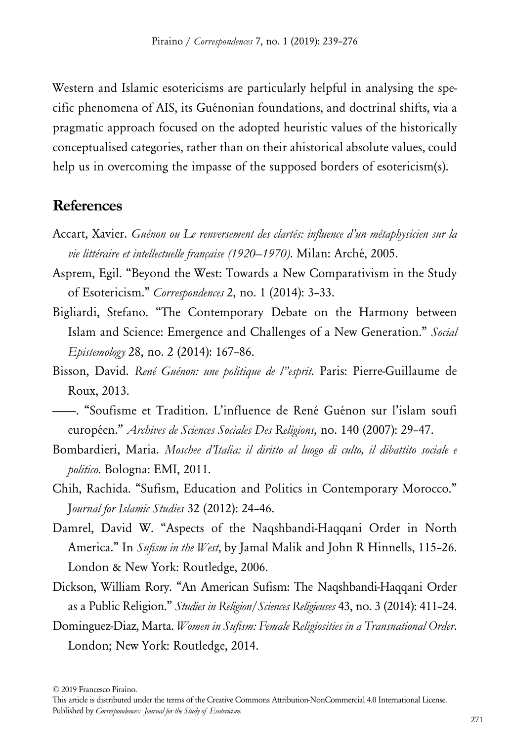Western and Islamic esotericisms are particularly helpful in analysing the specific phenomena of AIS, its Guénonian foundations, and doctrinal shifts, via a pragmatic approach focused on the adopted heuristic values of the historically conceptualised categories, rather than on their ahistorical absolute values, could help us in overcoming the impasse of the supposed borders of esotericism(s).

# **References**

- Accart, Xavier. *Guénon ou Le renversement des clartés: influence d'un métaphysicien sur la vie littéraire et intellectuelle française (1920–1970)*. Milan: Arché, 2005.
- Asprem, Egil. "Beyond the West: Towards a New Comparativism in the Study of Esotericism." *Correspondences* 2, no. 1 (2014): 3–33.
- Bigliardi, Stefano. "The Contemporary Debate on the Harmony between Islam and Science: Emergence and Challenges of a New Generation." *Social Epistemology* 28, no. 2 (2014): 167–86.
- Bisson, David. *René Guénon: une politique de l"esprit*. Paris: Pierre-Guillaume de Roux, 2013.
- ———. "Soufisme et Tradition. L'influence de René Guénon sur l'islam soufi européen." *Archives de Sciences Sociales Des Religions*, no. 140 (2007): 29–47.
- Bombardieri, Maria. *Moschee d'Italia: il diritto al luogo di culto, il dibattito sociale e politico*. Bologna: EMI, 2011.
- Chih, Rachida. "Sufism, Education and Politics in Contemporary Morocco." J*ournal for Islamic Studies* 32 (2012): 24–46.
- Damrel, David W. "Aspects of the Naqshbandi-Haqqani Order in North America." In *Sufism in the West*, by Jamal Malik and John R Hinnells, 115–26. London & New York: Routledge, 2006.
- Dickson, William Rory. "An American Sufism: The Naqshbandi-Haqqani Order as a Public Religion." *Studies in Religion/Sciences Religieuses* 43, no. 3 (2014): 411–24.
- Dominguez-Diaz, Marta. *Women in Sufism: Female Religiosities in a Transnational Order*. London; New York: Routledge, 2014.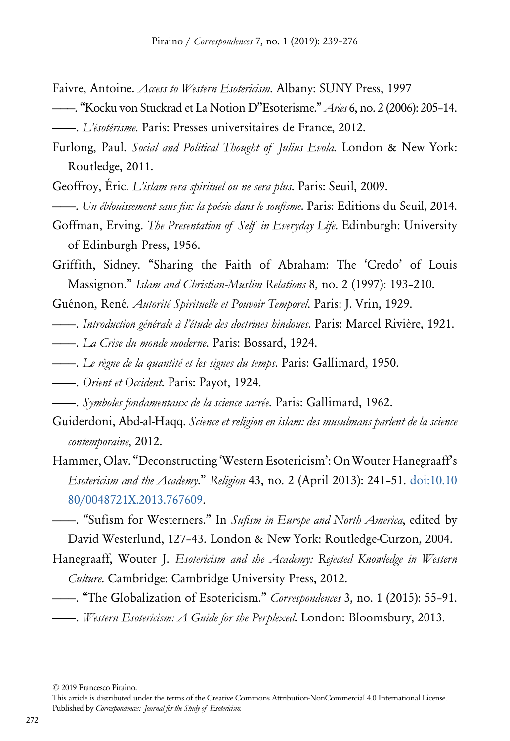- Faivre, Antoine. *Access to Western Esotericism*. Albany: SUNY Press, 1997
- ———. "Kocku von Stuckrad et La Notion D"Esoterisme." *Aries* 6, no. 2 (2006): 205–14. ———. *L'ésotérisme*. Paris: Presses universitaires de France, 2012.
- Furlong, Paul. *Social and Political Thought of Julius Evola*. London & New York: Routledge, 2011.
- Geoffroy, Éric. *L'islam sera spirituel ou ne sera plus*. Paris: Seuil, 2009.
- ———. *Un éblouissement sans fin: la poésie dans le soufisme*. Paris: Editions du Seuil, 2014.
- Goffman, Erving. *The Presentation of Self in Everyday Life*. Edinburgh: University of Edinburgh Press, 1956.
- Griffith, Sidney. "Sharing the Faith of Abraham: The 'Credo' of Louis Massignon." *Islam and Christian-Muslim Relations* 8, no. 2 (1997): 193–210.
- Guénon, René. *Autorité Spirituelle et Pouvoir Temporel*. Paris: J. Vrin, 1929.
- ———. *Introduction générale à l'étude des doctrines hindoues*. Paris: Marcel Rivière, 1921.
- ———. *La Crise du monde moderne*. Paris: Bossard, 1924.
- ———. *Le règne de la quantité et les signes du temps*. Paris: Gallimard, 1950.
- ———. *Orient et Occident*. Paris: Payot, 1924.
- ———. *Symboles fondamentaux de la science sacrée*. Paris: Gallimard, 1962.
- Guiderdoni, Abd-al-Haqq. *Science et religion en islam: des musulmans parlent de la science contemporaine*, 2012.
- Hammer, Olav. "Deconstructing 'Western Esotericism': On Wouter Hanegraaff's *Esotericism and the Academy*." *Religion* 43, no. 2 (April 2013): 241–51. [doi:10.10](http://doi.org/doi:10.1080/0048721X.2013.767609) [80/0048721X.2013.767609](http://doi.org/doi:10.1080/0048721X.2013.767609).
- ———. "Sufism for Westerners." In *Sufism in Europe and North America*, edited by David Westerlund, 127–43. London & New York: Routledge-Curzon, 2004.
- Hanegraaff, Wouter J. *Esotericism and the Academy: Rejected Knowledge in Western Culture*. Cambridge: Cambridge University Press, 2012.
- ———. "The Globalization of Esotericism." *Correspondences* 3, no. 1 (2015): 55–91. ———. *Western Esotericism: A Guide for the Perplexed*. London: Bloomsbury, 2013.

© 2019 Francesco Piraino.

This article is distributed under the terms of the Creative Commons Attribution-NonCommercial 4.0 International License. Published by *Correspondences: Journal for the Study of Esotericism.*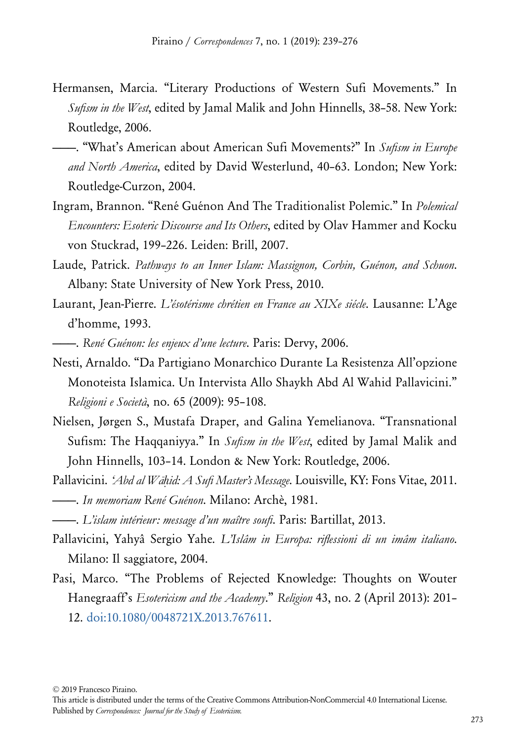- Hermansen, Marcia. "Literary Productions of Western Sufi Movements." In *Sufism in the West*, edited by Jamal Malik and John Hinnells, 38–58. New York: Routledge, 2006.
- ———. "What's American about American Sufi Movements?" In *Sufism in Europe and North America*, edited by David Westerlund, 40–63. London; New York: Routledge-Curzon, 2004.
- Ingram, Brannon. "René Guénon And The Traditionalist Polemic." In *Polemical Encounters: Esoteric Discourse and Its Others*, edited by Olav Hammer and Kocku von Stuckrad, 199–226. Leiden: Brill, 2007.
- Laude, Patrick. *Pathways to an Inner Islam: Massignon, Corbin, Guénon, and Schuon*. Albany: State University of New York Press, 2010.
- Laurant, Jean-Pierre. *L'ésotérisme chrétien en France au XIXe siécle*. Lausanne: L'Age d'homme, 1993.
- ———. *René Guénon: les enjeux d'une lecture*. Paris: Dervy, 2006.
- Nesti, Arnaldo. "Da Partigiano Monarchico Durante La Resistenza All'opzione Monoteista Islamica. Un Intervista Allo Shaykh Abd Al Wahid Pallavicini." *Religioni e Società*, no. 65 (2009): 95–108.
- Nielsen, Jørgen S., Mustafa Draper, and Galina Yemelianova. "Transnational Sufism: The Haqqaniyya." In *Sufism in the West*, edited by Jamal Malik and John Hinnells, 103–14. London & New York: Routledge, 2006.
- Pallavicini. *ʻAbd al Wāḥid: A Sufi Master's Message*. Louisville, KY: Fons Vitae, 2011. ———. *In memoriam René Guénon*. Milano: Archè, 1981.
- ———. *L'islam intérieur: message d'un maître soufi*. Paris: Bartillat, 2013.
- Pallavicini, Yahyâ Sergio Yahe. *L'Islâm in Europa: riflessioni di un imâm italiano*. Milano: Il saggiatore, 2004.
- Pasi, Marco. "The Problems of Rejected Knowledge: Thoughts on Wouter Hanegraaff's *Esotericism and the Academy*." *Religion* 43, no. 2 (April 2013): 201– 12. [doi:10.1080/0048721X.2013.767611.](http://doi.org/doi:10.1080/0048721X.2013.767611)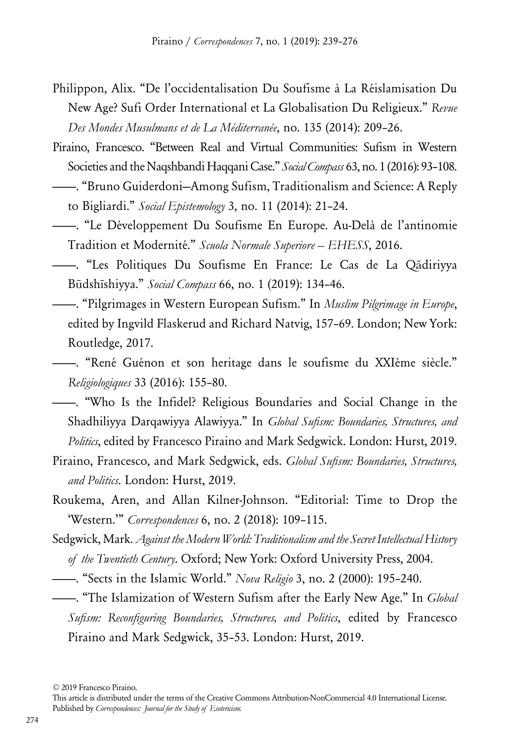- Philippon, Alix. "De l'occidentalisation Du Soufisme à La Réislamisation Du New Age? Sufi Order International et La Globalisation Du Religieux." *Revue Des Mondes Musulmans et de La Méditerranée*, no. 135 (2014): 209–26.
- Piraino, Francesco. "Between Real and Virtual Communities: Sufism in Western Societies and the Naqshbandi Haqqani Case." *Social Compass* 63, no. 1 (2016): 93–108.
- ———. "Bruno Guiderdoni—Among Sufism, Traditionalism and Science: A Reply to Bigliardi." *Social Epistemology* 3, no. 11 (2014): 21–24.
- ———. "Le Développement Du Soufisme En Europe. Au-Delà de l'antinomie Tradition et Modernité." *Scuola Normale Superiore – EHESS*, 2016.
- ———. "Les Politiques Du Soufisme En France: Le Cas de La Qādiriyya Būdshīshiyya." *Social Compass* 66, no. 1 (2019): 134–46.
- ———. "Pilgrimages in Western European Sufism." In *Muslim Pilgrimage in Europe*, edited by Ingvild Flaskerud and Richard Natvig, 157–69. London; New York: Routledge, 2017.

———. "René Guénon et son heritage dans le soufisme du XXIème siècle." *Religiologiques* 33 (2016): 155–80.

- ———. "Who Is the Infidel? Religious Boundaries and Social Change in the Shadhiliyya Darqawiyya Alawiyya." In *Global Sufism: Boundaries, Structures, and Politics*, edited by Francesco Piraino and Mark Sedgwick. London: Hurst, 2019.
- Piraino, Francesco, and Mark Sedgwick, eds. *Global Sufism: Boundaries, Structures, and Politics*. London: Hurst, 2019.
- Roukema, Aren, and Allan Kilner-Johnson. "Editorial: Time to Drop the 'Western.'" *Correspondences* 6, no. 2 (2018): 109–115.
- Sedgwick, Mark. *Against the Modern World: Traditionalism and the Secret Intellectual History of the Twentieth Century*. Oxford; New York: Oxford University Press, 2004.
- ———. "Sects in the Islamic World." *Nova Religio* 3, no. 2 (2000): 195–240.
- ———. "The Islamization of Western Sufism after the Early New Age." In *Global Sufism: Reconfiguring Boundaries, Structures, and Politics*, edited by Francesco Piraino and Mark Sedgwick, 35–53. London: Hurst, 2019.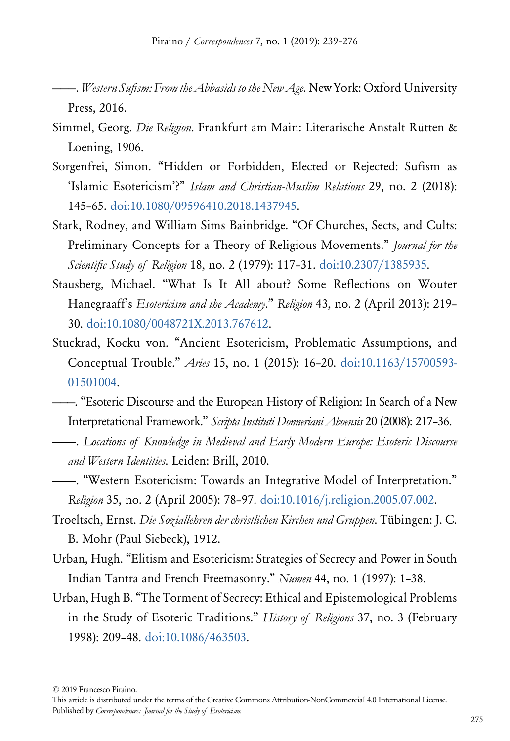- ———. *Western Sufism: From the Abbasids to the New Age*. New York: Oxford University Press, 2016.
- Simmel, Georg. *Die Religion*. Frankfurt am Main: Literarische Anstalt Rütten & Loening, 1906.
- Sorgenfrei, Simon. "Hidden or Forbidden, Elected or Rejected: Sufism as 'Islamic Esotericism'?" *Islam and Christian-Muslim Relations* 29, no. 2 (2018): 145–65. [doi:10.1080/09596410.2018.1437945](http://doi.org/doi:10.1080/09596410.2018.1437945).
- Stark, Rodney, and William Sims Bainbridge. "Of Churches, Sects, and Cults: Preliminary Concepts for a Theory of Religious Movements." *Journal for the Scientific Study of Religion* 18, no. 2 (1979): 117–31. [doi:10.2307/1385935.](http://doi.org/doi:10.2307/1385935)
- Stausberg, Michael. "What Is It All about? Some Reflections on Wouter Hanegraaff's *Esotericism and the Academy*." *Religion* 43, no. 2 (April 2013): 219– 30. [doi:10.1080/0048721X.2013.767612.](http://doi.org/doi:10.1080/0048721X.2013.767612)
- Stuckrad, Kocku von. "Ancient Esotericism, Problematic Assumptions, and Conceptual Trouble." *Aries* 15, no. 1 (2015): 16–20. [doi:10.1163/15700593-](http://doi.org/doi:10.1163/15700593-01501004) [01501004](http://doi.org/doi:10.1163/15700593-01501004).
- ———. "Esoteric Discourse and the European History of Religion: In Search of a New Interpretational Framework." *Scripta Instituti Donneriani Aboensis* 20 (2008): 217–36.
- ———. *Locations of Knowledge in Medieval and Early Modern Europe: Esoteric Discourse and Western Identities*. Leiden: Brill, 2010.
- ———. "Western Esotericism: Towards an Integrative Model of Interpretation." *Religion* 35, no. 2 (April 2005): 78–97. [doi:10.1016/j.religion.2005.07.002.](http://doi.org/doi:10.1016/j.religion.2005.07.002)
- Troeltsch, Ernst. *Die Soziallehren der christlichen Kirchen und Gruppen*. Tübingen: J. C. B. Mohr (Paul Siebeck), 1912.
- Urban, Hugh. "Elitism and Esotericism: Strategies of Secrecy and Power in South Indian Tantra and French Freemasonry." *Numen* 44, no. 1 (1997): 1–38.
- Urban, Hugh B. "The Torment of Secrecy: Ethical and Epistemological Problems in the Study of Esoteric Traditions." *History of Religions* 37, no. 3 (February 1998): 209–48. [doi:10.1086/463503](http://doi.org/doi:10.1086/463503).